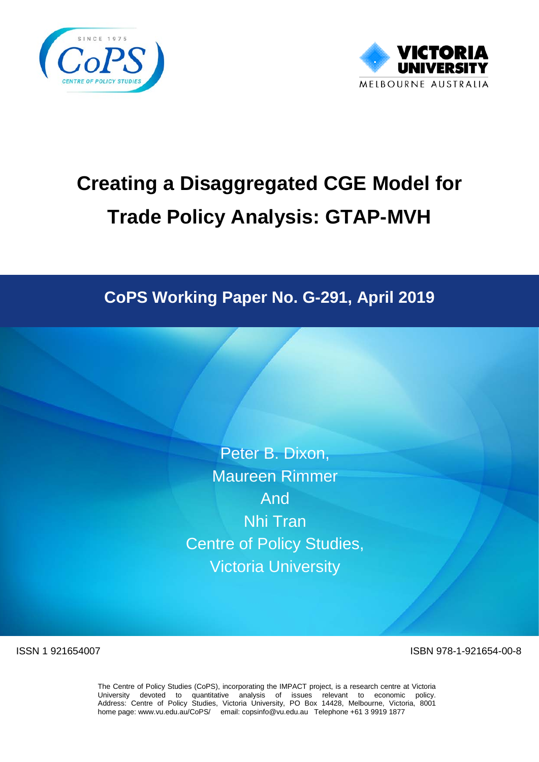



# **Creating a Disaggregated CGE Model for Trade Policy Analysis: GTAP-MVH**

## **CoPS Working Paper No. G-291, April 2019**

Peter B. Dixon, Maureen Rimmer And Nhi Tran Centre of Policy Studies, Victoria University

ISSN 1 921654007 ISBN 978-1-921654-00-8

The Centre of Policy Studies (CoPS), incorporating the IMPACT project, is a research centre at Victoria University devoted to quantitative analysis of issues relevant to economic policy. Address: Centre of Policy Studies, Victoria University, PO Box 14428, Melbourne, Victoria, 8001 home page: www.vu.edu.au/CoPS/ email: copsinfo@vu.edu.au Telephone +61 3 9919 1877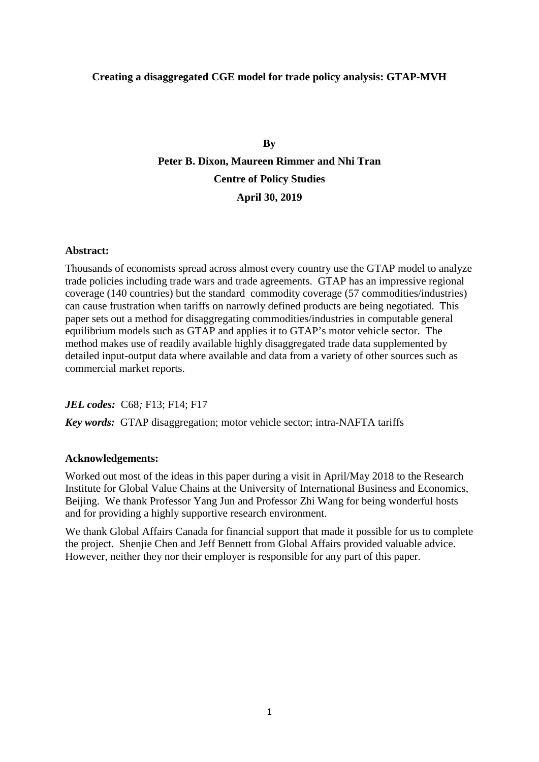#### **Creating a disaggregated CGE model for trade policy analysis: GTAP-MVH**

### **By Peter B. Dixon, Maureen Rimmer and Nhi Tran Centre of Policy Studies April 30, 2019**

#### **Abstract:**

Thousands of economists spread across almost every country use the GTAP model to analyze trade policies including trade wars and trade agreements. GTAP has an impressive regional coverage (140 countries) but the standard commodity coverage (57 commodities/industries) can cause frustration when tariffs on narrowly defined products are being negotiated. This paper sets out a method for disaggregating commodities/industries in computable general equilibrium models such as GTAP and applies it to GTAP's motor vehicle sector. The method makes use of readily available highly disaggregated trade data supplemented by detailed input-output data where available and data from a variety of other sources such as commercial market reports.

#### *JEL codes:* C68*;* F13; F14; F17

*Key words:* GTAP disaggregation; motor vehicle sector; intra-NAFTA tariffs

#### **Acknowledgements:**

Worked out most of the ideas in this paper during a visit in April/May 2018 to the Research Institute for Global Value Chains at the University of International Business and Economics, Beijing. We thank Professor Yang Jun and Professor Zhi Wang for being wonderful hosts and for providing a highly supportive research environment.

We thank Global Affairs Canada for financial support that made it possible for us to complete the project. Shenjie Chen and Jeff Bennett from Global Affairs provided valuable advice. However, neither they nor their employer is responsible for any part of this paper.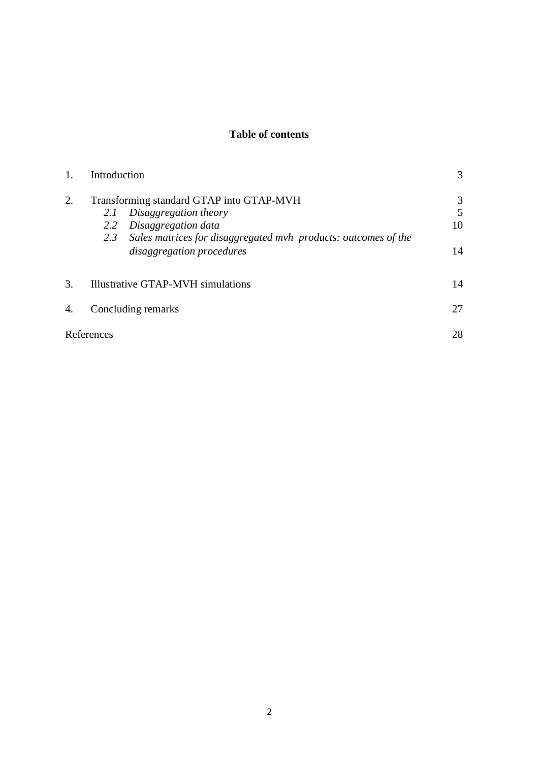#### **Table of contents**

|    | Introduction                             |                                                                | 3  |  |  |  |  |
|----|------------------------------------------|----------------------------------------------------------------|----|--|--|--|--|
| 2. | Transforming standard GTAP into GTAP-MVH |                                                                |    |  |  |  |  |
|    | 2.1                                      | Disaggregation theory                                          | 5  |  |  |  |  |
|    | 2.2                                      | Disaggregation data                                            | 10 |  |  |  |  |
|    | 2.3                                      | Sales matrices for disaggregated mvh products: outcomes of the |    |  |  |  |  |
|    |                                          | disaggregation procedures                                      | 14 |  |  |  |  |
| 3. |                                          | Illustrative GTAP-MVH simulations                              | 14 |  |  |  |  |
| 4. |                                          | Concluding remarks                                             | 27 |  |  |  |  |
|    | References                               |                                                                | 28 |  |  |  |  |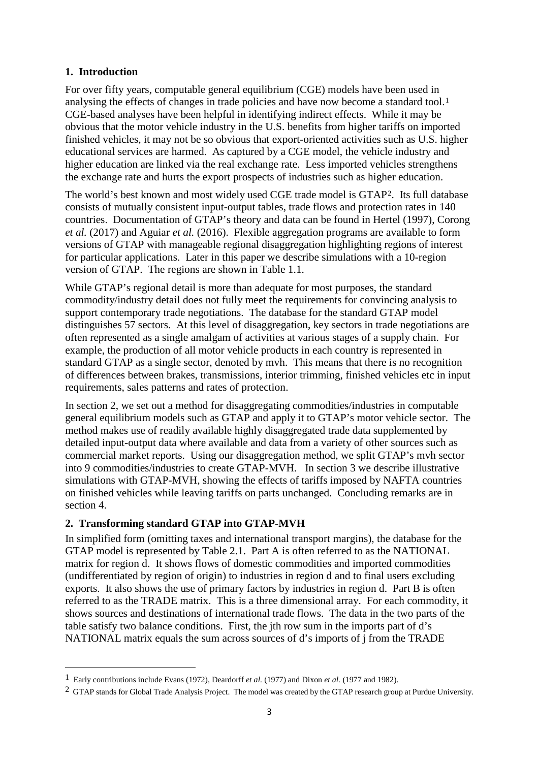#### **1. Introduction**

For over fifty years, computable general equilibrium (CGE) models have been used in analysing the effects of changes in trade policies and have now become a standard tool.<sup>[1](#page-4-0)</sup> CGE-based analyses have been helpful in identifying indirect effects. While it may be obvious that the motor vehicle industry in the U.S. benefits from higher tariffs on imported finished vehicles, it may not be so obvious that export-oriented activities such as U.S. higher educational services are harmed. As captured by a CGE model, the vehicle industry and higher education are linked via the real exchange rate. Less imported vehicles strengthens the exchange rate and hurts the export prospects of industries such as higher education.

The world's best known and most widely used CGE trade model is GTAP[2](#page-4-1). Its full database consists of mutually consistent input-output tables, trade flows and protection rates in 140 countries. Documentation of GTAP's theory and data can be found in Hertel (1997), Corong *et al.* (2017) and Aguiar *et al.* (2016). Flexible aggregation programs are available to form versions of GTAP with manageable regional disaggregation highlighting regions of interest for particular applications. Later in this paper we describe simulations with a 10-region version of GTAP. The regions are shown in Table 1.1.

While GTAP's regional detail is more than adequate for most purposes, the standard commodity/industry detail does not fully meet the requirements for convincing analysis to support contemporary trade negotiations. The database for the standard GTAP model distinguishes 57 sectors. At this level of disaggregation, key sectors in trade negotiations are often represented as a single amalgam of activities at various stages of a supply chain. For example, the production of all motor vehicle products in each country is represented in standard GTAP as a single sector, denoted by mvh. This means that there is no recognition of differences between brakes, transmissions, interior trimming, finished vehicles etc in input requirements, sales patterns and rates of protection.

In section 2, we set out a method for disaggregating commodities/industries in computable general equilibrium models such as GTAP and apply it to GTAP's motor vehicle sector. The method makes use of readily available highly disaggregated trade data supplemented by detailed input-output data where available and data from a variety of other sources such as commercial market reports. Using our disaggregation method, we split GTAP's mvh sector into 9 commodities/industries to create GTAP-MVH. In section 3 we describe illustrative simulations with GTAP-MVH, showing the effects of tariffs imposed by NAFTA countries on finished vehicles while leaving tariffs on parts unchanged. Concluding remarks are in section 4.

#### **2. Transforming standard GTAP into GTAP-MVH**

 $\overline{a}$ 

In simplified form (omitting taxes and international transport margins), the database for the GTAP model is represented by Table 2.1. Part A is often referred to as the NATIONAL matrix for region d. It shows flows of domestic commodities and imported commodities (undifferentiated by region of origin) to industries in region d and to final users excluding exports. It also shows the use of primary factors by industries in region d. Part B is often referred to as the TRADE matrix. This is a three dimensional array. For each commodity, it shows sources and destinations of international trade flows. The data in the two parts of the table satisfy two balance conditions. First, the jth row sum in the imports part of d's NATIONAL matrix equals the sum across sources of d's imports of j from the TRADE

<span id="page-4-0"></span><sup>1</sup> Early contributions include Evans (1972), Deardorff *et al.* (1977) and Dixon *et al.* (1977 and 1982).

<span id="page-4-1"></span> $2$  GTAP stands for Global Trade Analysis Project. The model was created by the GTAP research group at Purdue University.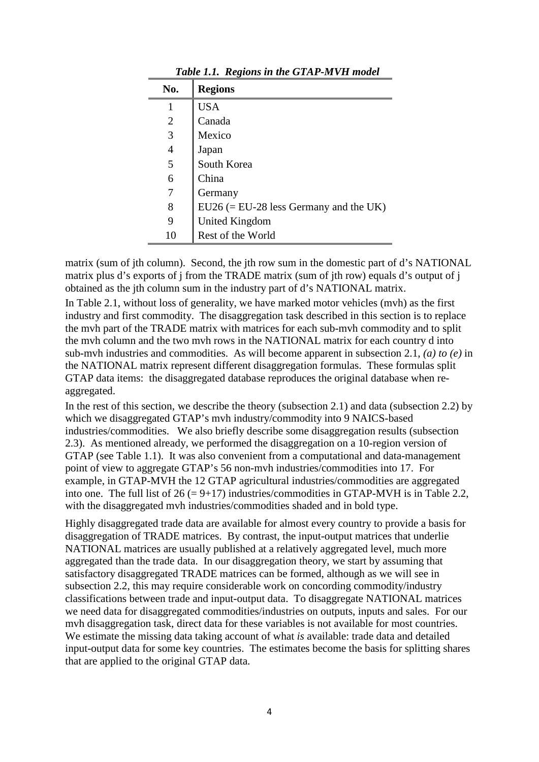| No.            | <b>Regions</b>                           |
|----------------|------------------------------------------|
|                | <b>USA</b>                               |
| $\overline{2}$ | Canada                                   |
| 3              | Mexico                                   |
| $\overline{4}$ | Japan                                    |
| 5              | South Korea                              |
| 6              | China                                    |
| 7              | Germany                                  |
| 8              | $EU26 (= EU-28$ less Germany and the UK) |
| 9              | United Kingdom                           |
| 10             | Rest of the World                        |

*Table 1.1. Regions in the GTAP-MVH model*

matrix (sum of jth column). Second, the jth row sum in the domestic part of d's NATIONAL matrix plus d's exports of j from the TRADE matrix (sum of jth row) equals d's output of j obtained as the jth column sum in the industry part of d's NATIONAL matrix.

In Table 2.1, without loss of generality, we have marked motor vehicles (mvh) as the first industry and first commodity. The disaggregation task described in this section is to replace the mvh part of the TRADE matrix with matrices for each sub-mvh commodity and to split the mvh column and the two mvh rows in the NATIONAL matrix for each country d into sub-mvh industries and commodities. As will become apparent in subsection 2.1, *(a) to (e)* in the NATIONAL matrix represent different disaggregation formulas. These formulas split GTAP data items: the disaggregated database reproduces the original database when reaggregated.

In the rest of this section, we describe the theory (subsection 2.1) and data (subsection 2.2) by which we disaggregated GTAP's mvh industry/commodity into 9 NAICS-based industries/commodities. We also briefly describe some disaggregation results (subsection 2.3). As mentioned already, we performed the disaggregation on a 10-region version of GTAP (see Table 1.1). It was also convenient from a computational and data-management point of view to aggregate GTAP's 56 non-mvh industries/commodities into 17. For example, in GTAP-MVH the 12 GTAP agricultural industries/commodities are aggregated into one. The full list of  $26 (= 9+17)$  industries/commodities in GTAP-MVH is in Table 2.2, with the disaggregated mvh industries/commodities shaded and in bold type.

Highly disaggregated trade data are available for almost every country to provide a basis for disaggregation of TRADE matrices. By contrast, the input-output matrices that underlie NATIONAL matrices are usually published at a relatively aggregated level, much more aggregated than the trade data. In our disaggregation theory, we start by assuming that satisfactory disaggregated TRADE matrices can be formed, although as we will see in subsection 2.2, this may require considerable work on concording commodity/industry classifications between trade and input-output data. To disaggregate NATIONAL matrices we need data for disaggregated commodities/industries on outputs, inputs and sales. For our mvh disaggregation task, direct data for these variables is not available for most countries. We estimate the missing data taking account of what *is* available: trade data and detailed input-output data for some key countries. The estimates become the basis for splitting shares that are applied to the original GTAP data.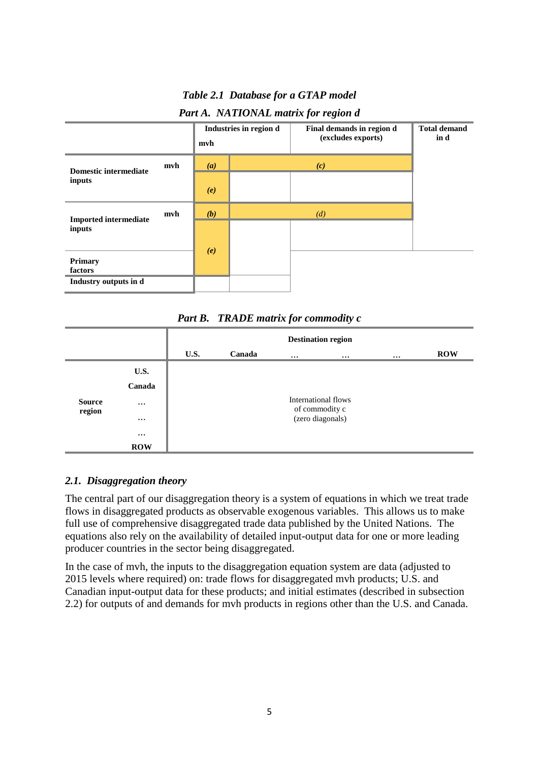*Table 2.1 Database for a GTAP model*

| Part A. NATIONAL matrix for region d |  |  |
|--------------------------------------|--|--|
|--------------------------------------|--|--|



*Part B. TRADE matrix for commodity c*

|               |            | <b>Destination region</b> |        |          |                                       |  |            |  |
|---------------|------------|---------------------------|--------|----------|---------------------------------------|--|------------|--|
|               |            | U.S.                      | Canada | $\cdots$ | $\cdots$                              |  | <b>ROW</b> |  |
|               | U.S.       |                           |        |          |                                       |  |            |  |
|               | Canada     |                           |        |          |                                       |  |            |  |
| <b>Source</b> | $\cdots$   |                           |        |          | International flows<br>of commodity c |  |            |  |
| region        | $\cdots$   |                           |        |          | (zero diagonals)                      |  |            |  |
|               | $\cdots$   |                           |        |          |                                       |  |            |  |
|               | <b>ROW</b> |                           |        |          |                                       |  |            |  |

#### *2.1. Disaggregation theory*

The central part of our disaggregation theory is a system of equations in which we treat trade flows in disaggregated products as observable exogenous variables. This allows us to make full use of comprehensive disaggregated trade data published by the United Nations. The equations also rely on the availability of detailed input-output data for one or more leading producer countries in the sector being disaggregated.

In the case of mvh, the inputs to the disaggregation equation system are data (adjusted to 2015 levels where required) on: trade flows for disaggregated mvh products; U.S. and Canadian input-output data for these products; and initial estimates (described in subsection 2.2) for outputs of and demands for mvh products in regions other than the U.S. and Canada.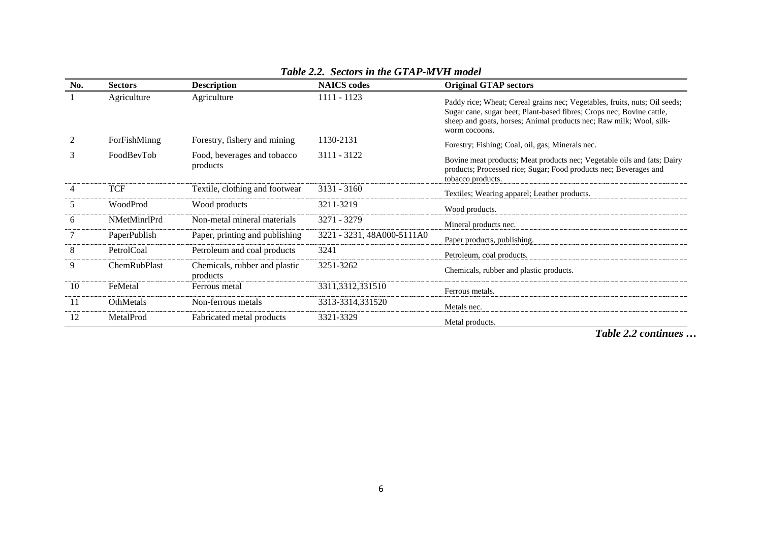| No.           | <b>Sectors</b> | <b>Description</b>                        | <b>NAICS</b> codes         | <b>Original GTAP sectors</b>                                                                                                                                                                                                                |
|---------------|----------------|-------------------------------------------|----------------------------|---------------------------------------------------------------------------------------------------------------------------------------------------------------------------------------------------------------------------------------------|
|               | Agriculture    | Agriculture                               | 1111 - 1123                | Paddy rice; Wheat; Cereal grains nec; Vegetables, fruits, nuts; Oil seeds;<br>Sugar cane, sugar beet; Plant-based fibres; Crops nec; Bovine cattle,<br>sheep and goats, horses; Animal products nec; Raw milk; Wool, silk-<br>worm cocoons. |
| 2             | ForFishMinng   | Forestry, fishery and mining              | 1130-2131                  | Forestry; Fishing; Coal, oil, gas; Minerals nec.                                                                                                                                                                                            |
| 3             | FoodBevTob     | Food, beverages and tobacco<br>products   | 3111 - 3122                | Bovine meat products; Meat products nec; Vegetable oils and fats; Dairy<br>products; Processed rice; Sugar; Food products nec; Beverages and<br>tobacco products.                                                                           |
|               | TCF            | Textile, clothing and footwear            | $3131 - 3160$              | Textiles; Wearing apparel; Leather products.                                                                                                                                                                                                |
| $\mathcal{L}$ | WoodProd       | Wood products                             | 3211-3219                  | Wood products.                                                                                                                                                                                                                              |
| 6             | NMetMinrlPrd   | Non-metal mineral materials               | 3271 - 3279                | Mineral products nec.                                                                                                                                                                                                                       |
|               | PaperPublish   | Paper, printing and publishing            | 3221 - 3231, 48A000-5111A0 | Paper products, publishing.                                                                                                                                                                                                                 |
| 8             | PetrolCoal     | Petroleum and coal products               | 3241                       | Petroleum, coal products.                                                                                                                                                                                                                   |
| 9             | ChemRubPlast   | Chemicals, rubber and plastic<br>products | 3251-3262                  | Chemicals, rubber and plastic products.                                                                                                                                                                                                     |
| 10            | FeMetal        | Ferrous metal                             | 3311,3312,331510           | Ferrous metals.                                                                                                                                                                                                                             |
| 11            | OthMetals      | Non-ferrous metals                        | 3313-3314,331520           | Metals nec.                                                                                                                                                                                                                                 |
| 12            | MetalProd      | Fabricated metal products                 | 3321-3329                  | Metal products.                                                                                                                                                                                                                             |

#### *Table 2.2. Sectors in the GTAP-MVH model*

*Table 2.2 continues …*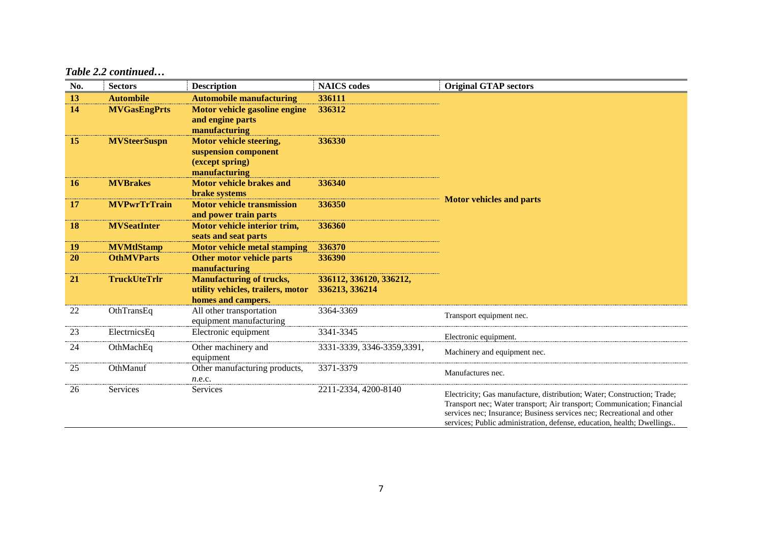#### *Table 2.2 continued…*

| No.       | <b>Sectors</b>      | <b>Description</b>                                                                         | <b>NAICS</b> codes                        | <b>Original GTAP sectors</b>                                                                                                                                                                                                                                                                           |  |  |  |  |
|-----------|---------------------|--------------------------------------------------------------------------------------------|-------------------------------------------|--------------------------------------------------------------------------------------------------------------------------------------------------------------------------------------------------------------------------------------------------------------------------------------------------------|--|--|--|--|
| 13        | <b>Autombile</b>    | <b>Automobile manufacturing</b>                                                            | 336111                                    |                                                                                                                                                                                                                                                                                                        |  |  |  |  |
| 14        | <b>MVGasEngPrts</b> | Motor vehicle gasoline engine<br>and engine parts<br>manufacturing                         | 336312                                    |                                                                                                                                                                                                                                                                                                        |  |  |  |  |
| 15        | <b>MVSteerSuspn</b> | <b>Motor vehicle steering,</b><br>suspension component<br>(except spring)<br>manufacturing | 336330                                    |                                                                                                                                                                                                                                                                                                        |  |  |  |  |
| <b>16</b> | <b>MVBrakes</b>     | <b>Motor vehicle brakes and</b><br><b>brake</b> systems                                    | 336340                                    |                                                                                                                                                                                                                                                                                                        |  |  |  |  |
| 17        | <b>MVPwrTrTrain</b> | <b>Motor vehicle transmission</b><br>and power train parts                                 | 336350                                    | <b>Motor vehicles and parts</b>                                                                                                                                                                                                                                                                        |  |  |  |  |
| <b>18</b> | <b>MVSeatInter</b>  | Motor vehicle interior trim,<br>seats and seat parts                                       | 336360                                    |                                                                                                                                                                                                                                                                                                        |  |  |  |  |
| 19        | <b>MVMtlStamp</b>   | <b>Motor vehicle metal stamping</b>                                                        | 336370                                    |                                                                                                                                                                                                                                                                                                        |  |  |  |  |
| <b>20</b> | <b>OthMVParts</b>   | Other motor vehicle parts<br>manufacturing                                                 | 336390                                    |                                                                                                                                                                                                                                                                                                        |  |  |  |  |
| 21        | <b>TruckUteTrlr</b> | <b>Manufacturing of trucks,</b><br>utility vehicles, trailers, motor<br>homes and campers. | 336112, 336120, 336212,<br>336213, 336214 |                                                                                                                                                                                                                                                                                                        |  |  |  |  |
| 22        | OthTransEq          | All other transportation<br>equipment manufacturing                                        | 3364-3369                                 | Transport equipment nec.                                                                                                                                                                                                                                                                               |  |  |  |  |
| 23        | ElectrnicsEq        | Electronic equipment                                                                       | 3341-3345                                 | Electronic equipment.                                                                                                                                                                                                                                                                                  |  |  |  |  |
| 24        | OthMachEq           | Other machinery and<br>equipment                                                           | 3331-3339, 3346-3359, 3391,               | Machinery and equipment nec.                                                                                                                                                                                                                                                                           |  |  |  |  |
| 25        | OthManuf            | Other manufacturing products,<br>n.e.c.                                                    | 3371-3379                                 | Manufactures nec.                                                                                                                                                                                                                                                                                      |  |  |  |  |
| 26        | Services            | Services                                                                                   | 2211-2334, 4200-8140                      | Electricity; Gas manufacture, distribution; Water; Construction; Trade;<br>Transport nec; Water transport; Air transport; Communication; Financial<br>services nec; Insurance; Business services nec; Recreational and other<br>services; Public administration, defense, education, health; Dwellings |  |  |  |  |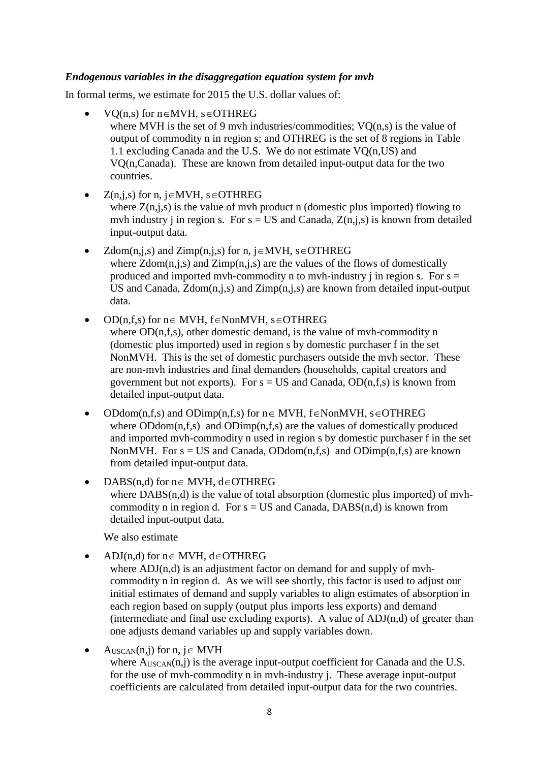#### *Endogenous variables in the disaggregation equation system for mvh*

In formal terms, we estimate for 2015 the U.S. dollar values of:

- VQ(n,s) for n∈MVH, s∈OTHREG where MVH is the set of 9 mvh industries/commodities;  $VO(n,s)$  is the value of output of commodity n in region s; and OTHREG is the set of 8 regions in Table 1.1 excluding Canada and the U.S. We do not estimate VQ(n,US) and VQ(n,Canada). These are known from detailed input-output data for the two countries.
- $Z(n,i,s)$  for n,  $i \in MVH$ ,  $s \in OTHREG$

where  $Z(n,j,s)$  is the value of mvh product n (domestic plus imported) flowing to mvh industry j in region s. For  $s = US$  and Canada,  $Z(n,j,s)$  is known from detailed input-output data.

- $Zdom(n,j,s)$  and  $Zimp(n,j,s)$  for n, j∈MVH, s∈OTHREG where  $Zdom(n,j,s)$  and  $Zimp(n,j,s)$  are the values of the flows of domestically produced and imported mvh-commodity n to mvh-industry j in region s. For  $s =$ US and Canada,  $Zdom(n,j,s)$  and  $Zimp(n,j,s)$  are known from detailed input-output data.
- OD(n,f,s) for n∈ MVH, f∈NonMVH, s∈OTHREG

where OD(n,f,s), other domestic demand, is the value of myh-commodity n (domestic plus imported) used in region s by domestic purchaser f in the set NonMVH. This is the set of domestic purchasers outside the mvh sector. These are non-mvh industries and final demanders (households, capital creators and government but not exports). For  $s = US$  and Canada,  $OD(n,f,s)$  is known from detailed input-output data.

- ODdom(n,f,s) and ODimp(n,f,s) for  $n \in MWH$ ,  $f \in N$ onMVH,  $s \in OTHREG$ where  $ODdom(n,f,s)$  and  $ODimp(n,f,s)$  are the values of domestically produced and imported mvh-commodity n used in region s by domestic purchaser f in the set NonMVH. For  $s = US$  and Canada, ODdom(n,f,s) and ODimp(n,f,s) are known from detailed input-output data.
- DABS(n,d) for n∈ MVH, d∈OTHREG where DABS(n,d) is the value of total absorption (domestic plus imported) of mvhcommodity n in region d. For  $s = US$  and Canada, DABS(n,d) is known from detailed input-output data.

We also estimate

• ADJ(n,d) for n∈ MVH, d∈OTHREG

where ADJ(n,d) is an adjustment factor on demand for and supply of mvhcommodity n in region d. As we will see shortly, this factor is used to adjust our initial estimates of demand and supply variables to align estimates of absorption in each region based on supply (output plus imports less exports) and demand (intermediate and final use excluding exports). A value of  $ADJ(n,d)$  of greater than one adjusts demand variables up and supply variables down.

• AUSCAN(n,j) for n,  $j \in MWH$ 

where  $A_{USCAN}(n,i)$  is the average input-output coefficient for Canada and the U.S. for the use of mvh-commodity n in mvh-industry j. These average input-output coefficients are calculated from detailed input-output data for the two countries.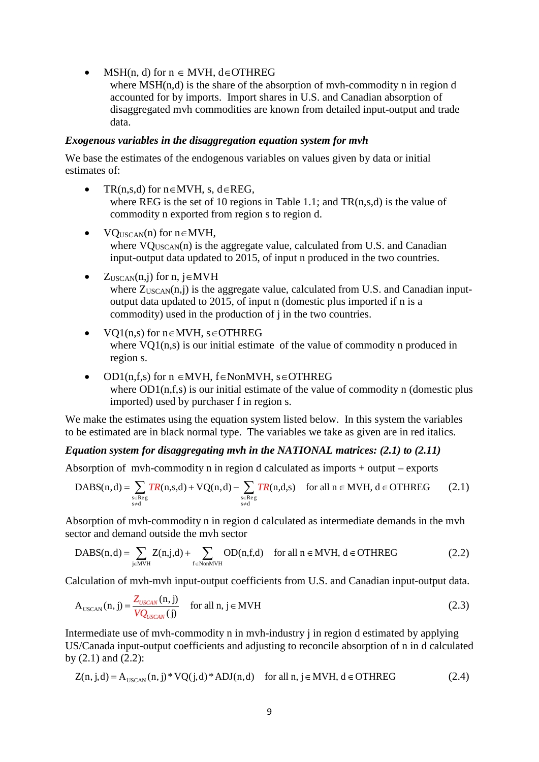• MSH(n, d) for  $n \in MV$ H, d $\in$ OTHREG

where  $MSH(n,d)$  is the share of the absorption of myh-commodity n in region d accounted for by imports. Import shares in U.S. and Canadian absorption of disaggregated mvh commodities are known from detailed input-output and trade data.

#### *Exogenous variables in the disaggregation equation system for mvh*

We base the estimates of the endogenous variables on values given by data or initial estimates of:

- $TR(n,s,d)$  for  $n \in MVH$ , s, d $\in REG$ , where REG is the set of 10 regions in Table 1.1; and TR(n,s,d) is the value of commodity n exported from region s to region d.
- $VO_{USCAN}(n)$  for  $n \in MVH$ , where  $VO_{USCAN}(n)$  is the aggregate value, calculated from U.S. and Canadian input-output data updated to 2015, of input n produced in the two countries.
- $Z_{USCAN}(n,j)$  for n, j∈MVH where  $Z_{USCAN}(n,j)$  is the aggregate value, calculated from U.S. and Canadian inputoutput data updated to 2015, of input n (domestic plus imported if n is a commodity) used in the production of j in the two countries.
- VQ1(n,s) for n∈MVH, s∈OTHREG where VO1(n,s) is our initial estimate of the value of commodity n produced in region s.
- OD1(n,f,s) for n ∈MVH, f∈NonMVH, s∈OTHREG where  $OD1(n,f,s)$  is our initial estimate of the value of commodity n (domestic plus imported) used by purchaser f in region s.

We make the estimates using the equation system listed below. In this system the variables to be estimated are in black normal type. The variables we take as given are in red italics.

#### *Equation system for disaggregating mvh in the NATIONAL matrices: (2.1) to (2.11)*

Absorption of mvh-commodity n in region d calculated as imports + output – exports

DABS(n,d) = 
$$
\sum_{\substack{s \in \text{Reg} \\ s \neq d}} \text{TR}(n,s,d) + \text{VQ}(n,d) - \sum_{\substack{s \in \text{Reg} \\ s \neq d}} \text{TR}(n,d,s) \quad \text{for all } n \in \text{MVH, } d \in \text{OTHREG}
$$
 (2.1)

Absorption of mvh-commodity n in region d calculated as intermediate demands in the mvh sector and demand outside the mvh sector

$$
DABS(n,d) = \sum_{j \in MVH} Z(n,j,d) + \sum_{f \in NonMVH} OD(n,f,d) \quad \text{for all } n \in MVH, d \in OTHREG
$$
 (2.2)

Calculation of mvh-mvh input-output coefficients from U.S. and Canadian input-output data.

$$
A_{USCAN}(n,j) = \frac{Z_{USCAN}(n,j)}{VQ_{USCAN}(j)}
$$
 for all n, j \in MVH (2.3)

Intermediate use of mvh-commodity n in mvh-industry j in region d estimated by applying US/Canada input-output coefficients and adjusting to reconcile absorption of n in d calculated by  $(2.1)$  and  $(2.2)$ :

$$
Z(n, j, d) = A_{\text{USCAN}}(n, j) * VQ(j, d) * ADJ(n, d) \quad \text{for all } n, j \in MVH, d \in OTHREG
$$
 (2.4)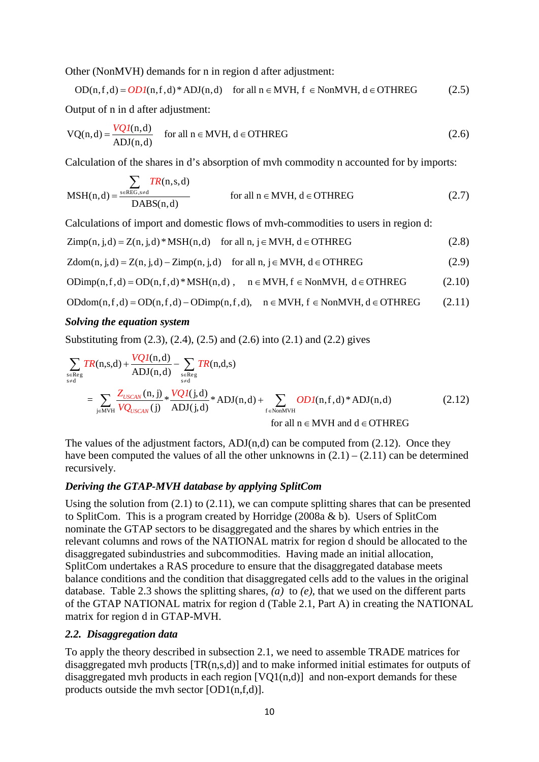Other (NonMVH) demands for n in region d after adjustment:

 $OD(n,f,d) = OD(1,f,d)*ADJ(n,d)$  for all  $n \in MVH$ ,  $f \in NonMVH$ ,  $d \in OTHREG$  (2.5)

Output of n in d after adjustment:

$$
VQ(n,d) = \frac{VQI(n,d)}{ADJ(n,d)} \quad \text{for all } n \in MVH, \, d \in OTHREG \tag{2.6}
$$

Calculation of the shares in d's absorption of mvh commodity n accounted for by imports:

$$
MSH(n,d) = \frac{\sum_{s \in REG, s \neq d} TR(n,s,d)}{DABS(n,d)}
$$
 for all  $n \in MVH$ ,  $d \in OTHREG$  (2.7)

Calculations of import and domestic flows of mvh-commodities to users in region d:

$$
Zimp(n, j, d) = Z(n, j, d) * MSH(n, d) \quad \text{for all } n, j \in MVH, d \in OTHREG
$$
\n(2.8)

$$
Zdom(n, j, d) = Z(n, j, d) - Zimp(n, j, d) \quad \text{for all } n, j \in MVH, d \in OTHREG
$$
 (2.9)

$$
ODimp(n,f,d) = OD(n,f,d) * MSH(n,d) , \quad n \in MVH, \, f \in NonMVH, \, d \in OTHREG \qquad \qquad (2.10)
$$

$$
ODdom(n, f, d) = OD(n, f, d) - ODimp(n, f, d), \quad n \in MVH, f \in NonMVH, d \in OTHREG
$$
 (2.11)

#### *Solving the equation system*

Substituting from (2.3), (2.4), (2.5) and (2.6) into (2.1) and (2.2) gives

$$
\sum_{\substack{s \in \text{Reg} \\ s \neq d}} TR(n, s, d) + \frac{VQI(n, d)}{ADJ(n, d)} - \sum_{\substack{s \in \text{Reg} \\ s \neq d}} TR(n, d, s)
$$
\n
$$
= \sum_{j \in \text{MVH}} \frac{Z_{USCAN}(n, j)}{VQ_{USCAN}(j)} * \frac{VQI(j, d)}{ADJ(j, d)} * ADJ(n, d) + \sum_{f \in \text{NonMVH}} ODI(n, f, d) * ADJ(n, d)
$$
\n
$$
\text{for all } n \in \text{MVH and } d \in \text{OTHREG}
$$
\n(2.12)

The values of the adjustment factors,  $ADJ(n,d)$  can be computed from (2.12). Once they have been computed the values of all the other unknowns in  $(2.1) - (2.11)$  can be determined recursively.

#### *Deriving the GTAP-MVH database by applying SplitCom*

Using the solution from  $(2.1)$  to  $(2.11)$ , we can compute splitting shares that can be presented to SplitCom. This is a program created by Horridge (2008a & b). Users of SplitCom nominate the GTAP sectors to be disaggregated and the shares by which entries in the relevant columns and rows of the NATIONAL matrix for region d should be allocated to the disaggregated subindustries and subcommodities. Having made an initial allocation, SplitCom undertakes a RAS procedure to ensure that the disaggregated database meets balance conditions and the condition that disaggregated cells add to the values in the original database. Table 2.3 shows the splitting shares, *(a)* to *(e)*, that we used on the different parts of the GTAP NATIONAL matrix for region d (Table 2.1, Part A) in creating the NATIONAL matrix for region d in GTAP-MVH.

#### *2.2. Disaggregation data*

To apply the theory described in subsection 2.1, we need to assemble TRADE matrices for disaggregated mvh products [TR(n,s,d)] and to make informed initial estimates for outputs of disaggregated mvh products in each region  $[VQ1(n,d)]$  and non-export demands for these products outside the mvh sector [OD1(n,f,d)].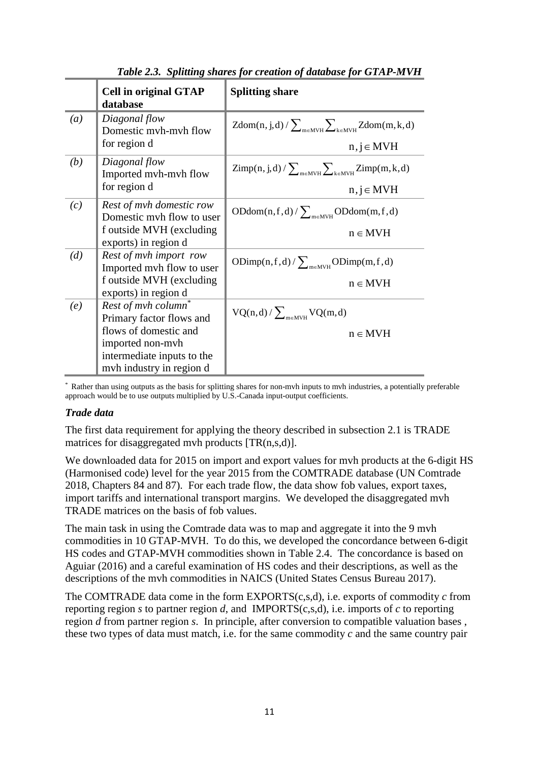|     | <b>Cell in original GTAP</b><br>database              | <b>Splitting share</b>                                                                            |
|-----|-------------------------------------------------------|---------------------------------------------------------------------------------------------------|
| (a) | Diagonal flow<br>Domestic mvh-mvh flow                | $Zdom(n, j, d) / \sum_{m \in NWH} \sum_{k \in NWH} Zdom(m, k, d)$                                 |
|     | for region d                                          | $n, j \in MVH$                                                                                    |
| (b) | Diagonal flow<br>Imported myh-myh flow                | $\mathsf{Zimp}(n,j,d) / \sum_{m \in \mathsf{MVH}} \sum_{k \in \mathsf{MVH}} \mathsf{Zimp}(m,k,d)$ |
|     | for region d                                          | $n, j \in MVH$                                                                                    |
| (c) | Rest of myh domestic row<br>Domestic myh flow to user | $ODdom(n, f, d) / \sum_{m \in MVH} ODdom(m, f, d)$                                                |
|     | f outside MVH (excluding<br>exports) in region d      | $n \in MVH$                                                                                       |
| (d) | Rest of myh import row<br>Imported myh flow to user   | ODimp(n,f,d)/ $\sum_{m \in M \vee H}$ ODimp(m,f,d)                                                |
|     | f outside MVH (excluding<br>exports) in region d      | $n \in MVH$                                                                                       |
| (e) | Rest of mvh column*<br>Primary factor flows and       | $VQ(n,d)/\sum_{m\in MWH}VQ(m,d)$                                                                  |
|     | flows of domestic and                                 | $n \in MVH$                                                                                       |
|     | imported non-mvh                                      |                                                                                                   |
|     | intermediate inputs to the                            |                                                                                                   |
|     | myh industry in region d                              |                                                                                                   |

*Table 2.3. Splitting shares for creation of database for GTAP-MVH*

\* Rather than using outputs as the basis for splitting shares for non-mvh inputs to mvh industries, a potentially preferable approach would be to use outputs multiplied by U.S.-Canada input-output coefficients.

#### *Trade data*

The first data requirement for applying the theory described in subsection 2.1 is TRADE matrices for disaggregated mvh products [TR(n,s,d)].

We downloaded data for 2015 on import and export values for myh products at the 6-digit HS (Harmonised code) level for the year 2015 from the COMTRADE database (UN Comtrade 2018, Chapters 84 and 87). For each trade flow, the data show fob values, export taxes, import tariffs and international transport margins. We developed the disaggregated mvh TRADE matrices on the basis of fob values.

The main task in using the Comtrade data was to map and aggregate it into the 9 mvh commodities in 10 GTAP-MVH. To do this, we developed the concordance between 6-digit HS codes and GTAP-MVH commodities shown in Table 2.4. The concordance is based on Aguiar (2016) and a careful examination of HS codes and their descriptions, as well as the descriptions of the mvh commodities in NAICS (United States Census Bureau 2017).

The COMTRADE data come in the form EXPORTS(c,s,d), i.e. exports of commodity *c* from reporting region *s* to partner region *d*, and IMPORTS(c,s,d), i.e. imports of *c* to reporting region *d* from partner region *s*. In principle, after conversion to compatible valuation bases , these two types of data must match, i.e. for the same commodity *c* and the same country pair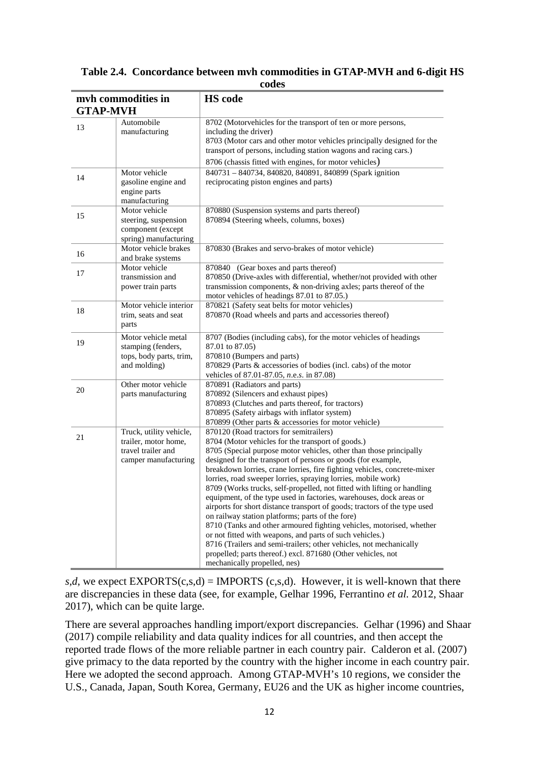| <b>GTAP-MVH</b> | myh commodities in                                                                            | <b>HS</b> code                                                                                                                                                                                                                                                                                                                                                                                                                                                                                                                                                                                                                                                                                                                                                                                                                                                                                                                                                               |
|-----------------|-----------------------------------------------------------------------------------------------|------------------------------------------------------------------------------------------------------------------------------------------------------------------------------------------------------------------------------------------------------------------------------------------------------------------------------------------------------------------------------------------------------------------------------------------------------------------------------------------------------------------------------------------------------------------------------------------------------------------------------------------------------------------------------------------------------------------------------------------------------------------------------------------------------------------------------------------------------------------------------------------------------------------------------------------------------------------------------|
| 13              | Automobile<br>manufacturing                                                                   | 8702 (Motorvehicles for the transport of ten or more persons,<br>including the driver)<br>8703 (Motor cars and other motor vehicles principally designed for the<br>transport of persons, including station wagons and racing cars.)<br>8706 (chassis fitted with engines, for motor vehicles)                                                                                                                                                                                                                                                                                                                                                                                                                                                                                                                                                                                                                                                                               |
| 14              | Motor vehicle<br>gasoline engine and<br>engine parts<br>manufacturing                         | 840731 - 840734, 840820, 840891, 840899 (Spark ignition<br>reciprocating piston engines and parts)                                                                                                                                                                                                                                                                                                                                                                                                                                                                                                                                                                                                                                                                                                                                                                                                                                                                           |
| 15              | Motor vehicle<br>steering, suspension<br>component (except<br>spring) manufacturing           | 870880 (Suspension systems and parts thereof)<br>870894 (Steering wheels, columns, boxes)                                                                                                                                                                                                                                                                                                                                                                                                                                                                                                                                                                                                                                                                                                                                                                                                                                                                                    |
| 16              | Motor vehicle brakes<br>and brake systems                                                     | 870830 (Brakes and servo-brakes of motor vehicle)                                                                                                                                                                                                                                                                                                                                                                                                                                                                                                                                                                                                                                                                                                                                                                                                                                                                                                                            |
| 17              | Motor vehicle<br>transmission and<br>power train parts                                        | 870840 (Gear boxes and parts thereof)<br>870850 (Drive-axles with differential, whether/not provided with other<br>transmission components, $\&$ non-driving axles; parts thereof of the<br>motor vehicles of headings 87.01 to 87.05.)                                                                                                                                                                                                                                                                                                                                                                                                                                                                                                                                                                                                                                                                                                                                      |
| 18              | Motor vehicle interior<br>trim, seats and seat<br>parts                                       | 870821 (Safety seat belts for motor vehicles)<br>870870 (Road wheels and parts and accessories thereof)                                                                                                                                                                                                                                                                                                                                                                                                                                                                                                                                                                                                                                                                                                                                                                                                                                                                      |
| 19              | Motor vehicle metal<br>stamping (fenders,<br>tops, body parts, trim,<br>and molding)          | 8707 (Bodies (including cabs), for the motor vehicles of headings<br>87.01 to 87.05)<br>870810 (Bumpers and parts)<br>870829 (Parts & accessories of bodies (incl. cabs) of the motor<br>vehicles of 87.01-87.05, n.e.s. in 87.08)                                                                                                                                                                                                                                                                                                                                                                                                                                                                                                                                                                                                                                                                                                                                           |
| 20              | Other motor vehicle<br>parts manufacturing                                                    | 870891 (Radiators and parts)<br>870892 (Silencers and exhaust pipes)<br>870893 (Clutches and parts thereof, for tractors)<br>870895 (Safety airbags with inflator system)<br>870899 (Other parts & accessories for motor vehicle)                                                                                                                                                                                                                                                                                                                                                                                                                                                                                                                                                                                                                                                                                                                                            |
| 21              | Truck, utility vehicle,<br>trailer, motor home,<br>travel trailer and<br>camper manufacturing | 870120 (Road tractors for semitrailers)<br>8704 (Motor vehicles for the transport of goods.)<br>8705 (Special purpose motor vehicles, other than those principally<br>designed for the transport of persons or goods (for example,<br>breakdown lorries, crane lorries, fire fighting vehicles, concrete-mixer<br>lorries, road sweeper lorries, spraying lorries, mobile work)<br>8709 (Works trucks, self-propelled, not fitted with lifting or handling<br>equipment, of the type used in factories, warehouses, dock areas or<br>airports for short distance transport of goods; tractors of the type used<br>on railway station platforms; parts of the fore)<br>8710 (Tanks and other armoured fighting vehicles, motorised, whether<br>or not fitted with weapons, and parts of such vehicles.)<br>8716 (Trailers and semi-trailers; other vehicles, not mechanically<br>propelled; parts thereof.) excl. 871680 (Other vehicles, not<br>mechanically propelled, nes) |

#### **Table 2.4. Concordance between mvh commodities in GTAP-MVH and 6-digit HS codes**

*s*,*d*, we expect EXPORTS(c,s,*d*) = IMPORTS (c,s,*d*). However, it is well-known that there are discrepancies in these data (see, for example, Gelhar 1996, Ferrantino *et al.* 2012, Shaar 2017), which can be quite large.

There are several approaches handling import/export discrepancies. Gelhar (1996) and Shaar (2017) compile reliability and data quality indices for all countries, and then accept the reported trade flows of the more reliable partner in each country pair. Calderon et al. (2007) give primacy to the data reported by the country with the higher income in each country pair. Here we adopted the second approach. Among GTAP-MVH's 10 regions, we consider the U.S., Canada, Japan, South Korea, Germany, EU26 and the UK as higher income countries,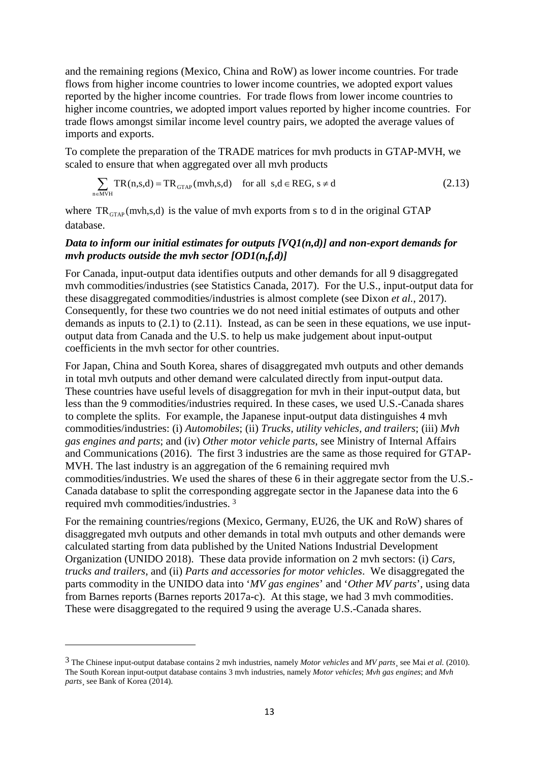and the remaining regions (Mexico, China and RoW) as lower income countries. For trade flows from higher income countries to lower income countries, we adopted export values reported by the higher income countries. For trade flows from lower income countries to higher income countries, we adopted import values reported by higher income countries. For trade flows amongst similar income level country pairs, we adopted the average values of imports and exports.

To complete the preparation of the TRADE matrices for mvh products in GTAP-MVH, we scaled to ensure that when aggregated over all mvh products

$$
\sum_{n \in MVH} TR(n,s,d) = TR_{GTAP}(mvh,s,d) \quad \text{for all } s,d \in REG, s \neq d \tag{2.13}
$$

where  $TR_{\text{GTAP}}$ (mvh,s,d) is the value of mvh exports from s to d in the original GTAP database.

#### *Data to inform our initial estimates for outputs [VQ1(n,d)] and non-export demands for mvh products outside the mvh sector [OD1(n,f,d)]*

For Canada, input-output data identifies outputs and other demands for all 9 disaggregated mvh commodities/industries (see Statistics Canada, 2017). For the U.S., input-output data for these disaggregated commodities/industries is almost complete (see Dixon *et al.*, 2017). Consequently, for these two countries we do not need initial estimates of outputs and other demands as inputs to  $(2.1)$  to  $(2.11)$ . Instead, as can be seen in these equations, we use inputoutput data from Canada and the U.S. to help us make judgement about input-output coefficients in the mvh sector for other countries.

For Japan, China and South Korea, shares of disaggregated mvh outputs and other demands in total mvh outputs and other demand were calculated directly from input-output data. These countries have useful levels of disaggregation for mvh in their input-output data, but less than the 9 commodities/industries required. In these cases, we used U.S.-Canada shares to complete the splits. For example, the Japanese input-output data distinguishes 4 mvh commodities/industries: (i) *Automobiles*; (ii) *Trucks, utility vehicles, and trailers*; (iii) *Mvh gas engines and parts*; and (iv) *Other motor vehicle parts*, see Ministry of Internal Affairs and Communications (2016). The first 3 industries are the same as those required for GTAP-MVH. The last industry is an aggregation of the 6 remaining required mvh commodities/industries. We used the shares of these 6 in their aggregate sector from the U.S.- Canada database to split the corresponding aggregate sector in the Japanese data into the 6 required mvh commodities/industries. [3](#page-14-0)

For the remaining countries/regions (Mexico, Germany, EU26, the UK and RoW) shares of disaggregated mvh outputs and other demands in total mvh outputs and other demands were calculated starting from data published by the United Nations Industrial Development Organization (UNIDO 2018). These data provide information on 2 mvh sectors: (i) *Cars, trucks and trailers*, and (ii) *Parts and accessories for motor vehicles*. We disaggregated the parts commodity in the UNIDO data into '*MV gas engines*' and '*Other MV parts*', using data from Barnes reports (Barnes reports 2017a-c). At this stage, we had 3 mvh commodities. These were disaggregated to the required 9 using the average U.S.-Canada shares.

**.** 

<span id="page-14-0"></span><sup>3</sup> The Chinese input-output database contains 2 mvh industries, namely *Motor vehicles* and *MV parts*¸ see Mai *et al.* (2010). The South Korean input-output database contains 3 mvh industries, namely *Motor vehicles*; *Mvh gas engines*; and *Mvh parts* see Bank of Korea (2014).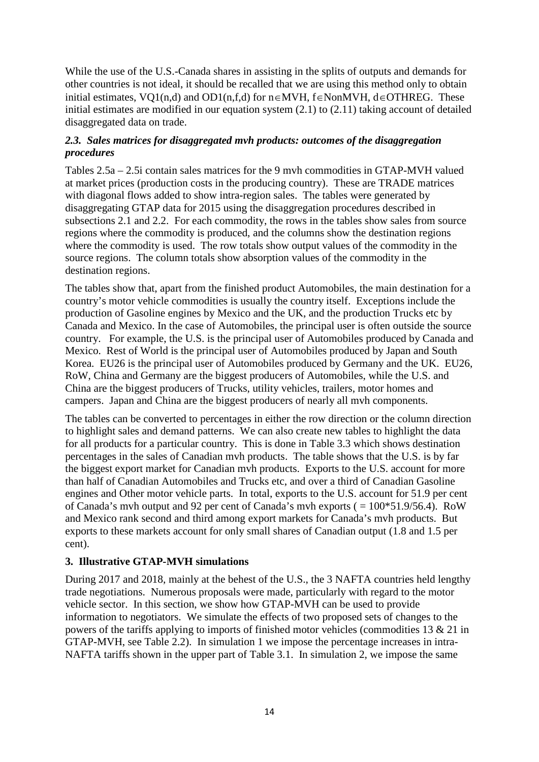While the use of the U.S.-Canada shares in assisting in the splits of outputs and demands for other countries is not ideal, it should be recalled that we are using this method only to obtain initial estimates, VQ1(n,d) and OD1(n,f,d) for n∈MVH, f∈NonMVH, d∈OTHREG. These initial estimates are modified in our equation system (2.1) to (2.11) taking account of detailed disaggregated data on trade.

#### *2.3. Sales matrices for disaggregated mvh products: outcomes of the disaggregation procedures*

Tables 2.5a – 2.5i contain sales matrices for the 9 mvh commodities in GTAP-MVH valued at market prices (production costs in the producing country). These are TRADE matrices with diagonal flows added to show intra-region sales. The tables were generated by disaggregating GTAP data for 2015 using the disaggregation procedures described in subsections 2.1 and 2.2. For each commodity, the rows in the tables show sales from source regions where the commodity is produced, and the columns show the destination regions where the commodity is used. The row totals show output values of the commodity in the source regions. The column totals show absorption values of the commodity in the destination regions.

The tables show that, apart from the finished product Automobiles, the main destination for a country's motor vehicle commodities is usually the country itself. Exceptions include the production of Gasoline engines by Mexico and the UK, and the production Trucks etc by Canada and Mexico. In the case of Automobiles, the principal user is often outside the source country. For example, the U.S. is the principal user of Automobiles produced by Canada and Mexico. Rest of World is the principal user of Automobiles produced by Japan and South Korea. EU26 is the principal user of Automobiles produced by Germany and the UK. EU26, RoW, China and Germany are the biggest producers of Automobiles, while the U.S. and China are the biggest producers of Trucks, utility vehicles, trailers, motor homes and campers. Japan and China are the biggest producers of nearly all mvh components.

The tables can be converted to percentages in either the row direction or the column direction to highlight sales and demand patterns. We can also create new tables to highlight the data for all products for a particular country. This is done in Table 3.3 which shows destination percentages in the sales of Canadian mvh products. The table shows that the U.S. is by far the biggest export market for Canadian mvh products. Exports to the U.S. account for more than half of Canadian Automobiles and Trucks etc, and over a third of Canadian Gasoline engines and Other motor vehicle parts. In total, exports to the U.S. account for 51.9 per cent of Canada's mvh output and 92 per cent of Canada's mvh exports ( = 100\*51.9/56.4). RoW and Mexico rank second and third among export markets for Canada's mvh products. But exports to these markets account for only small shares of Canadian output (1.8 and 1.5 per cent).

#### **3. Illustrative GTAP-MVH simulations**

During 2017 and 2018, mainly at the behest of the U.S., the 3 NAFTA countries held lengthy trade negotiations. Numerous proposals were made, particularly with regard to the motor vehicle sector. In this section, we show how GTAP-MVH can be used to provide information to negotiators. We simulate the effects of two proposed sets of changes to the powers of the tariffs applying to imports of finished motor vehicles (commodities 13 & 21 in GTAP-MVH, see Table 2.2). In simulation 1 we impose the percentage increases in intra-NAFTA tariffs shown in the upper part of Table 3.1. In simulation 2, we impose the same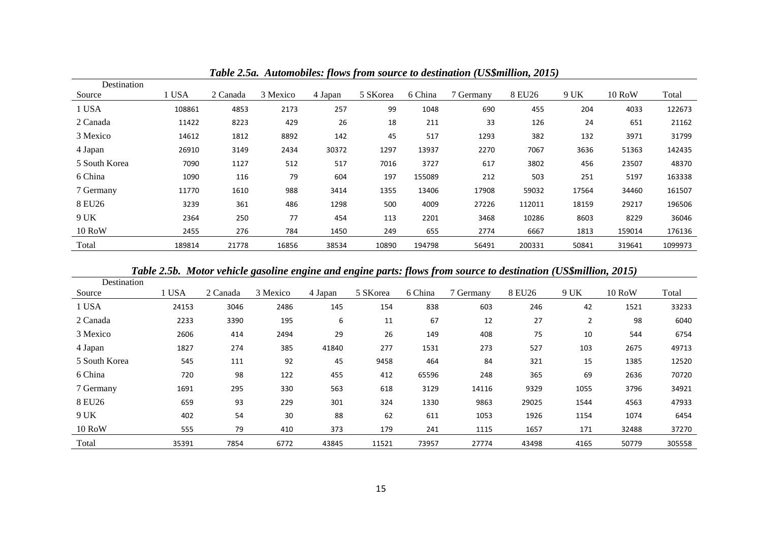| Destination   |        |          |          |         |          |         |           |        |       |               |         |
|---------------|--------|----------|----------|---------|----------|---------|-----------|--------|-------|---------------|---------|
| Source        | l USA  | 2 Canada | 3 Mexico | 4 Japan | 5 SKorea | 6 China | 7 Germany | 8 EU26 | 9 UK  | <b>10 RoW</b> | Total   |
| 1 USA         | 108861 | 4853     | 2173     | 257     | 99       | 1048    | 690       | 455    | 204   | 4033          | 122673  |
| 2 Canada      | 11422  | 8223     | 429      | 26      | 18       | 211     | 33        | 126    | 24    | 651           | 21162   |
| 3 Mexico      | 14612  | 1812     | 8892     | 142     | 45       | 517     | 1293      | 382    | 132   | 3971          | 31799   |
| 4 Japan       | 26910  | 3149     | 2434     | 30372   | 1297     | 13937   | 2270      | 7067   | 3636  | 51363         | 142435  |
| 5 South Korea | 7090   | 1127     | 512      | 517     | 7016     | 3727    | 617       | 3802   | 456   | 23507         | 48370   |
| 6 China       | 1090   | 116      | 79       | 604     | 197      | 155089  | 212       | 503    | 251   | 5197          | 163338  |
| 7 Germany     | 11770  | 1610     | 988      | 3414    | 1355     | 13406   | 17908     | 59032  | 17564 | 34460         | 161507  |
| 8 EU26        | 3239   | 361      | 486      | 1298    | 500      | 4009    | 27226     | 112011 | 18159 | 29217         | 196506  |
| 9 UK          | 2364   | 250      | 77       | 454     | 113      | 2201    | 3468      | 10286  | 8603  | 8229          | 36046   |
| <b>10 RoW</b> | 2455   | 276      | 784      | 1450    | 249      | 655     | 2774      | 6667   | 1813  | 159014        | 176136  |
| Total         | 189814 | 21778    | 16856    | 38534   | 10890    | 194798  | 56491     | 200331 | 50841 | 319641        | 1099973 |

*Table 2.5a. Automobiles: flows from source to destination (US\$million, 2015)*

*Table 2.5b. Motor vehicle gasoline engine and engine parts: flows from source to destination (US\$million, 2015)*

| Destination   |       |          |          |         |          |         |           |        |      |               |        |
|---------------|-------|----------|----------|---------|----------|---------|-----------|--------|------|---------------|--------|
| Source        | 1 USA | 2 Canada | 3 Mexico | 4 Japan | 5 SKorea | 6 China | 7 Germany | 8 EU26 | 9 UK | <b>10 RoW</b> | Total  |
| 1 USA         | 24153 | 3046     | 2486     | 145     | 154      | 838     | 603       | 246    | 42   | 1521          | 33233  |
| 2 Canada      | 2233  | 3390     | 195      | 6       | 11       | 67      | 12        | 27     | 2    | 98            | 6040   |
| 3 Mexico      | 2606  | 414      | 2494     | 29      | 26       | 149     | 408       | 75     | 10   | 544           | 6754   |
| 4 Japan       | 1827  | 274      | 385      | 41840   | 277      | 1531    | 273       | 527    | 103  | 2675          | 49713  |
| 5 South Korea | 545   | 111      | 92       | 45      | 9458     | 464     | 84        | 321    | 15   | 1385          | 12520  |
| 6 China       | 720   | 98       | 122      | 455     | 412      | 65596   | 248       | 365    | 69   | 2636          | 70720  |
| 7 Germany     | 1691  | 295      | 330      | 563     | 618      | 3129    | 14116     | 9329   | 1055 | 3796          | 34921  |
| 8 EU26        | 659   | 93       | 229      | 301     | 324      | 1330    | 9863      | 29025  | 1544 | 4563          | 47933  |
| 9 UK          | 402   | 54       | 30       | 88      | 62       | 611     | 1053      | 1926   | 1154 | 1074          | 6454   |
| <b>10 RoW</b> | 555   | 79       | 410      | 373     | 179      | 241     | 1115      | 1657   | 171  | 32488         | 37270  |
| Total         | 35391 | 7854     | 6772     | 43845   | 11521    | 73957   | 27774     | 43498  | 4165 | 50779         | 305558 |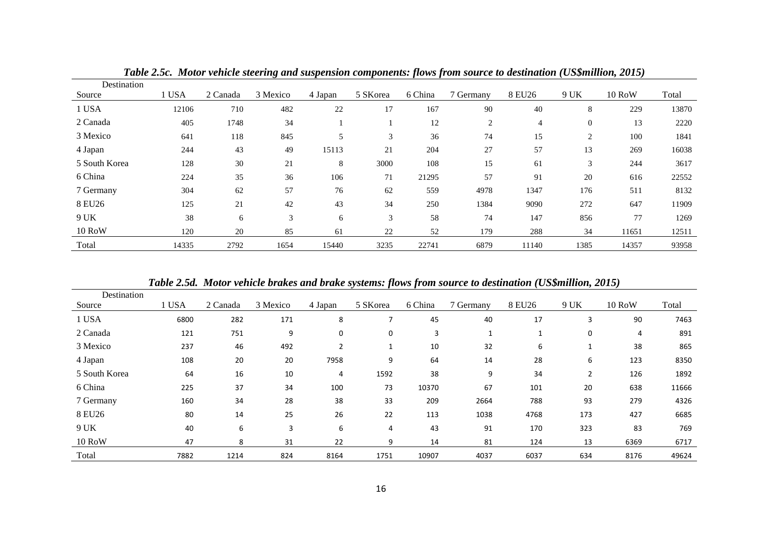| Destination   |       |          |          |         |          |         |           |                |              |               |       |
|---------------|-------|----------|----------|---------|----------|---------|-----------|----------------|--------------|---------------|-------|
| Source        | 1 USA | 2 Canada | 3 Mexico | 4 Japan | 5 SKorea | 6 China | 7 Germany | 8 EU26         | 9 UK         | <b>10 RoW</b> | Total |
| 1 USA         | 12106 | 710      | 482      | 22      | 17       | 167     | 90        | 40             | 8            | 229           | 13870 |
| 2 Canada      | 405   | 1748     | 34       |         |          | 12      | 2         | $\overline{4}$ | $\mathbf{0}$ | 13            | 2220  |
| 3 Mexico      | 641   | 118      | 845      | 5       | 3        | 36      | 74        | 15             | 2            | 100           | 1841  |
| 4 Japan       | 244   | 43       | 49       | 15113   | 21       | 204     | 27        | 57             | 13           | 269           | 16038 |
| 5 South Korea | 128   | 30       | 21       | 8       | 3000     | 108     | 15        | 61             | 3            | 244           | 3617  |
| 6 China       | 224   | 35       | 36       | 106     | 71       | 21295   | 57        | 91             | 20           | 616           | 22552 |
| 7 Germany     | 304   | 62       | 57       | 76      | 62       | 559     | 4978      | 1347           | 176          | 511           | 8132  |
| 8 EU26        | 125   | 21       | 42       | 43      | 34       | 250     | 1384      | 9090           | 272          | 647           | 11909 |
| 9 UK          | 38    | 6        | 3        | 6       | 3        | 58      | 74        | 147            | 856          | 77            | 1269  |
| <b>10 RoW</b> | 120   | 20       | 85       | 61      | 22       | 52      | 179       | 288            | 34           | 11651         | 12511 |
| Total         | 14335 | 2792     | 1654     | 15440   | 3235     | 22741   | 6879      | 11140          | 1385         | 14357         | 93958 |

*Table 2.5c. Motor vehicle steering and suspension components: flows from source to destination (US\$million, 2015)*

*Table 2.5d. Motor vehicle brakes and brake systems: flows from source to destination (US\$million, 2015)*

| Destination   |       |          |          |         |          |         |           |        |                |               |       |
|---------------|-------|----------|----------|---------|----------|---------|-----------|--------|----------------|---------------|-------|
| Source        | 1 USA | 2 Canada | 3 Mexico | 4 Japan | 5 SKorea | 6 China | 7 Germany | 8 EU26 | 9 UK           | <b>10 RoW</b> | Total |
| 1 USA         | 6800  | 282      | 171      | 8       |          | 45      | 40        | 17     | 3              | 90            | 7463  |
| 2 Canada      | 121   | 751      | 9        | 0       | 0        | 3       | 1         |        | 0              | 4             | 891   |
| 3 Mexico      | 237   | 46       | 492      | 2       | 1        | 10      | 32        | 6      |                | 38            | 865   |
| 4 Japan       | 108   | 20       | 20       | 7958    | 9        | 64      | 14        | 28     | 6              | 123           | 8350  |
| 5 South Korea | 64    | 16       | 10       | 4       | 1592     | 38      | 9         | 34     | $\overline{2}$ | 126           | 1892  |
| 6 China       | 225   | 37       | 34       | 100     | 73       | 10370   | 67        | 101    | 20             | 638           | 11666 |
| 7 Germany     | 160   | 34       | 28       | 38      | 33       | 209     | 2664      | 788    | 93             | 279           | 4326  |
| 8 EU26        | 80    | 14       | 25       | 26      | 22       | 113     | 1038      | 4768   | 173            | 427           | 6685  |
| 9 UK          | 40    | 6        | 3        | 6       | 4        | 43      | 91        | 170    | 323            | 83            | 769   |
| <b>10 RoW</b> | 47    | 8        | 31       | 22      | 9        | 14      | 81        | 124    | 13             | 6369          | 6717  |
| Total         | 7882  | 1214     | 824      | 8164    | 1751     | 10907   | 4037      | 6037   | 634            | 8176          | 49624 |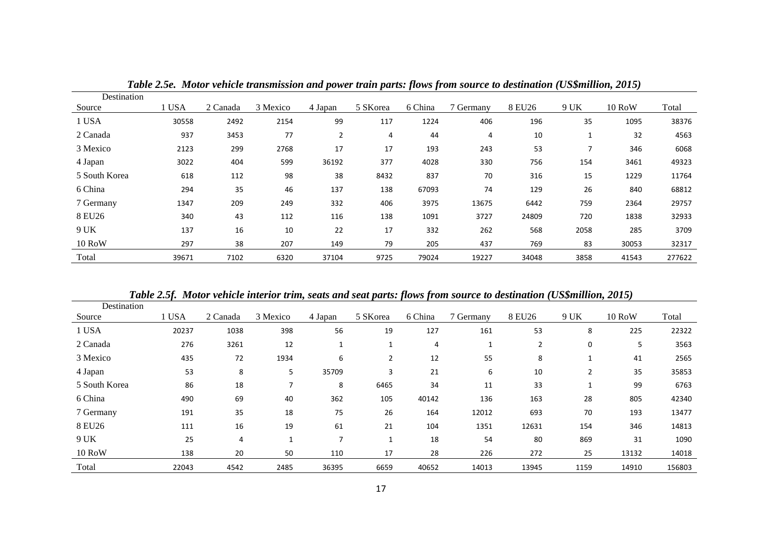| Destination   |       |          |          |                |          |         |           |        |      |          |        |
|---------------|-------|----------|----------|----------------|----------|---------|-----------|--------|------|----------|--------|
| Source        | 1 USA | 2 Canada | 3 Mexico | 4 Japan        | 5 SKorea | 6 China | 7 Germany | 8 EU26 | 9 UK | $10$ RoW | Total  |
| 1 USA         | 30558 | 2492     | 2154     | 99             | 117      | 1224    | 406       | 196    | 35   | 1095     | 38376  |
| 2 Canada      | 937   | 3453     | 77       | $\overline{2}$ | 4        | 44      | 4         | 10     |      | 32       | 4563   |
| 3 Mexico      | 2123  | 299      | 2768     | 17             | 17       | 193     | 243       | 53     |      | 346      | 6068   |
| 4 Japan       | 3022  | 404      | 599      | 36192          | 377      | 4028    | 330       | 756    | 154  | 3461     | 49323  |
| 5 South Korea | 618   | 112      | 98       | 38             | 8432     | 837     | 70        | 316    | 15   | 1229     | 11764  |
| 6 China       | 294   | 35       | 46       | 137            | 138      | 67093   | 74        | 129    | 26   | 840      | 68812  |
| 7 Germany     | 1347  | 209      | 249      | 332            | 406      | 3975    | 13675     | 6442   | 759  | 2364     | 29757  |
| 8 EU26        | 340   | 43       | 112      | 116            | 138      | 1091    | 3727      | 24809  | 720  | 1838     | 32933  |
| 9 UK          | 137   | 16       | 10       | 22             | 17       | 332     | 262       | 568    | 2058 | 285      | 3709   |
| $10$ RoW      | 297   | 38       | 207      | 149            | 79       | 205     | 437       | 769    | 83   | 30053    | 32317  |
| Total         | 39671 | 7102     | 6320     | 37104          | 9725     | 79024   | 19227     | 34048  | 3858 | 41543    | 277622 |

*Table 2.5e. Motor vehicle transmission and power train parts: flows from source to destination (US\$million, 2015)*

*Table 2.5f. Motor vehicle interior trim, seats and seat parts: flows from source to destination (US\$million, 2015)*

| Destination   |       |          |              |         |          |         |           |        |                |               |        |
|---------------|-------|----------|--------------|---------|----------|---------|-----------|--------|----------------|---------------|--------|
| Source        | l USA | 2 Canada | 3 Mexico     | 4 Japan | 5 SKorea | 6 China | 7 Germany | 8 EU26 | 9 UK           | <b>10 RoW</b> | Total  |
| 1 USA         | 20237 | 1038     | 398          | 56      | 19       | 127     | 161       | 53     | 8              | 225           | 22322  |
| 2 Canada      | 276   | 3261     | 12           | 1       | 1        | 4       | 1         | 2      | 0              | 5             | 3563   |
| 3 Mexico      | 435   | 72       | 1934         | 6       | 2        | 12      | 55        | 8      |                | 41            | 2565   |
| 4 Japan       | 53    | 8        | 5            | 35709   | 3        | 21      | 6         | 10     | $\overline{2}$ | 35            | 35853  |
| 5 South Korea | 86    | 18       | 7            | 8       | 6465     | 34      | 11        | 33     |                | 99            | 6763   |
| 6 China       | 490   | 69       | 40           | 362     | 105      | 40142   | 136       | 163    | 28             | 805           | 42340  |
| 7 Germany     | 191   | 35       | 18           | 75      | 26       | 164     | 12012     | 693    | 70             | 193           | 13477  |
| 8 EU26        | 111   | 16       | 19           | 61      | 21       | 104     | 1351      | 12631  | 154            | 346           | 14813  |
| 9 UK          | 25    | 4        | $\mathbf{1}$ | 7       | 1        | 18      | 54        | 80     | 869            | 31            | 1090   |
| <b>10 RoW</b> | 138   | 20       | 50           | 110     | 17       | 28      | 226       | 272    | 25             | 13132         | 14018  |
| Total         | 22043 | 4542     | 2485         | 36395   | 6659     | 40652   | 14013     | 13945  | 1159           | 14910         | 156803 |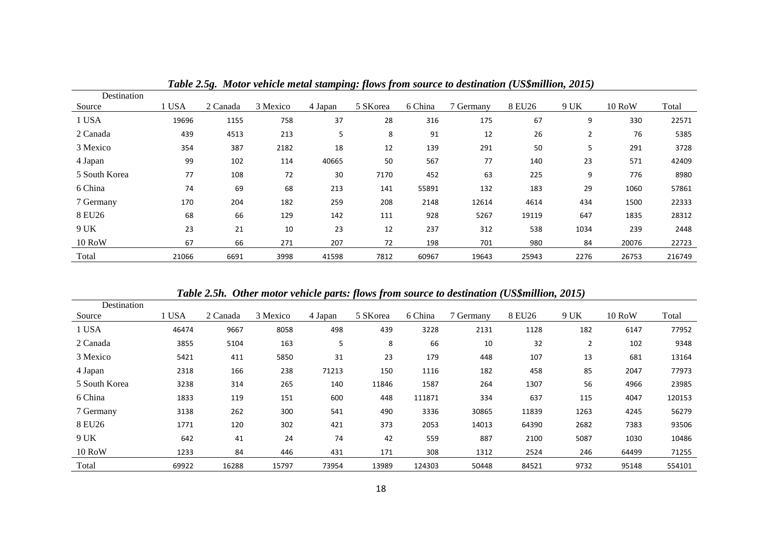| Destination   |       |          |          |         |          |         |           |        |                |               |        |
|---------------|-------|----------|----------|---------|----------|---------|-----------|--------|----------------|---------------|--------|
| Source        | 1 USA | 2 Canada | 3 Mexico | 4 Japan | 5 SKorea | 6 China | 7 Germany | 8 EU26 | 9 UK           | <b>10 RoW</b> | Total  |
| 1 USA         | 19696 | 1155     | 758      | 37      | 28       | 316     | 175       | 67     | 9              | 330           | 22571  |
| 2 Canada      | 439   | 4513     | 213      | 5       | 8        | 91      | 12        | 26     | $\overline{2}$ | 76            | 5385   |
| 3 Mexico      | 354   | 387      | 2182     | 18      | 12       | 139     | 291       | 50     | 5              | 291           | 3728   |
| 4 Japan       | 99    | 102      | 114      | 40665   | 50       | 567     | 77        | 140    | 23             | 571           | 42409  |
| 5 South Korea | 77    | 108      | 72       | 30      | 7170     | 452     | 63        | 225    | 9              | 776           | 8980   |
| 6 China       | 74    | 69       | 68       | 213     | 141      | 55891   | 132       | 183    | 29             | 1060          | 57861  |
| 7 Germany     | 170   | 204      | 182      | 259     | 208      | 2148    | 12614     | 4614   | 434            | 1500          | 22333  |
| 8 EU26        | 68    | 66       | 129      | 142     | 111      | 928     | 5267      | 19119  | 647            | 1835          | 28312  |
| 9 UK          | 23    | 21       | 10       | 23      | 12       | 237     | 312       | 538    | 1034           | 239           | 2448   |
| $10$ RoW      | 67    | 66       | 271      | 207     | 72       | 198     | 701       | 980    | 84             | 20076         | 22723  |
| Total         | 21066 | 6691     | 3998     | 41598   | 7812     | 60967   | 19643     | 25943  | 2276           | 26753         | 216749 |

*Table 2.5g. Motor vehicle metal stamping: flows from source to destination (US\$million, 2015)*

*Table 2.5h. Other motor vehicle parts: flows from source to destination (US\$million, 2015)*

| Destination   |       |          |          |         |          |         |           |        |                |               |        |
|---------------|-------|----------|----------|---------|----------|---------|-----------|--------|----------------|---------------|--------|
| Source        | l USA | 2 Canada | 3 Mexico | 4 Japan | 5 SKorea | 6 China | 7 Germany | 8 EU26 | 9 UK           | <b>10 RoW</b> | Total  |
| 1 USA         | 46474 | 9667     | 8058     | 498     | 439      | 3228    | 2131      | 1128   | 182            | 6147          | 77952  |
| 2 Canada      | 3855  | 5104     | 163      | 5       | 8        | 66      | 10        | 32     | $\overline{2}$ | 102           | 9348   |
| 3 Mexico      | 5421  | 411      | 5850     | 31      | 23       | 179     | 448       | 107    | 13             | 681           | 13164  |
| 4 Japan       | 2318  | 166      | 238      | 71213   | 150      | 1116    | 182       | 458    | 85             | 2047          | 77973  |
| 5 South Korea | 3238  | 314      | 265      | 140     | 11846    | 1587    | 264       | 1307   | 56             | 4966          | 23985  |
| 6 China       | 1833  | 119      | 151      | 600     | 448      | 111871  | 334       | 637    | 115            | 4047          | 120153 |
| 7 Germany     | 3138  | 262      | 300      | 541     | 490      | 3336    | 30865     | 11839  | 1263           | 4245          | 56279  |
| 8 EU26        | 1771  | 120      | 302      | 421     | 373      | 2053    | 14013     | 64390  | 2682           | 7383          | 93506  |
| 9 UK          | 642   | 41       | 24       | 74      | 42       | 559     | 887       | 2100   | 5087           | 1030          | 10486  |
| <b>10 RoW</b> | 1233  | 84       | 446      | 431     | 171      | 308     | 1312      | 2524   | 246            | 64499         | 71255  |
| Total         | 69922 | 16288    | 15797    | 73954   | 13989    | 124303  | 50448     | 84521  | 9732           | 95148         | 554101 |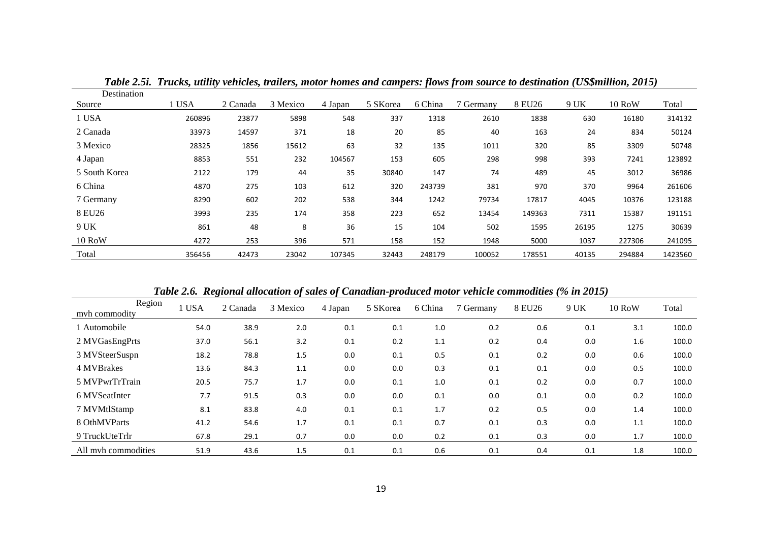| Destination   |        |          |          |         |          |         |           |        |       |               |         |
|---------------|--------|----------|----------|---------|----------|---------|-----------|--------|-------|---------------|---------|
| Source        | 1 USA  | 2 Canada | 3 Mexico | 4 Japan | 5 SKorea | 6 China | 7 Germany | 8 EU26 | 9 UK  | <b>10 RoW</b> | Total   |
| 1 USA         | 260896 | 23877    | 5898     | 548     | 337      | 1318    | 2610      | 1838   | 630   | 16180         | 314132  |
| 2 Canada      | 33973  | 14597    | 371      | 18      | 20       | 85      | 40        | 163    | 24    | 834           | 50124   |
| 3 Mexico      | 28325  | 1856     | 15612    | 63      | 32       | 135     | 1011      | 320    | 85    | 3309          | 50748   |
| 4 Japan       | 8853   | 551      | 232      | 104567  | 153      | 605     | 298       | 998    | 393   | 7241          | 123892  |
| 5 South Korea | 2122   | 179      | 44       | 35      | 30840    | 147     | 74        | 489    | 45    | 3012          | 36986   |
| 6 China       | 4870   | 275      | 103      | 612     | 320      | 243739  | 381       | 970    | 370   | 9964          | 261606  |
| 7 Germany     | 8290   | 602      | 202      | 538     | 344      | 1242    | 79734     | 17817  | 4045  | 10376         | 123188  |
| 8 EU26        | 3993   | 235      | 174      | 358     | 223      | 652     | 13454     | 149363 | 7311  | 15387         | 191151  |
| 9 UK          | 861    | 48       | 8        | 36      | 15       | 104     | 502       | 1595   | 26195 | 1275          | 30639   |
| <b>10 RoW</b> | 4272   | 253      | 396      | 571     | 158      | 152     | 1948      | 5000   | 1037  | 227306        | 241095  |
| Total         | 356456 | 42473    | 23042    | 107345  | 32443    | 248179  | 100052    | 178551 | 40135 | 294884        | 1423560 |

*Table 2.5i. Trucks, utility vehicles, trailers, motor homes and campers: flows from source to destination (US\$million, 2015)*

*Table 2.6. Regional allocation of sales of Canadian-produced motor vehicle commodities (% in 2015)*

| Region<br>myh commodity | USA  | 2 Canada | 3 Mexico | 4 Japan | 5 SKorea | 6 China | 7 Germany | 8 EU26 | 9 UK | <b>10 RoW</b> | Total |
|-------------------------|------|----------|----------|---------|----------|---------|-----------|--------|------|---------------|-------|
| l Automobile            | 54.0 | 38.9     | 2.0      | 0.1     | 0.1      | 1.0     | 0.2       | 0.6    | 0.1  | 3.1           | 100.0 |
| 2 MVGasEngPrts          | 37.0 | 56.1     | 3.2      | 0.1     | 0.2      | 1.1     | 0.2       | 0.4    | 0.0  | 1.6           | 100.0 |
| 3 MVSteerSuspn          | 18.2 | 78.8     | 1.5      | 0.0     | 0.1      | 0.5     | 0.1       | 0.2    | 0.0  | 0.6           | 100.0 |
| 4 MVBrakes              | 13.6 | 84.3     | 1.1      | 0.0     | 0.0      | 0.3     | 0.1       | 0.1    | 0.0  | 0.5           | 100.0 |
| 5 MVPwrTrTrain          | 20.5 | 75.7     | 1.7      | 0.0     | 0.1      | 1.0     | 0.1       | 0.2    | 0.0  | 0.7           | 100.0 |
| 6 MVSeatInter           | 7.7  | 91.5     | 0.3      | 0.0     | 0.0      | 0.1     | 0.0       | 0.1    | 0.0  | 0.2           | 100.0 |
| 7 MVMtlStamp            | 8.1  | 83.8     | 4.0      | 0.1     | 0.1      | 1.7     | 0.2       | 0.5    | 0.0  | 1.4           | 100.0 |
| 8 OthMVParts            | 41.2 | 54.6     | 1.7      | 0.1     | 0.1      | 0.7     | 0.1       | 0.3    | 0.0  | 1.1           | 100.0 |
| 9 TruckUteTrlr          | 67.8 | 29.1     | 0.7      | 0.0     | 0.0      | 0.2     | 0.1       | 0.3    | 0.0  | 1.7           | 100.0 |
| All myh commodities     | 51.9 | 43.6     | 1.5      | 0.1     | 0.1      | 0.6     | 0.1       | 0.4    | 0.1  | 1.8           | 100.0 |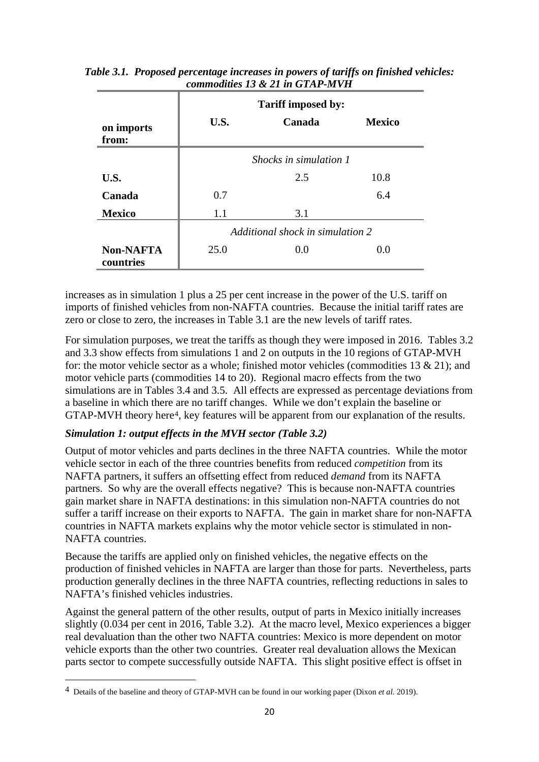| on imports                    | U.S. | <b>Tariff imposed by:</b><br>Canada | <b>Mexico</b> |
|-------------------------------|------|-------------------------------------|---------------|
| from:                         |      |                                     |               |
|                               |      | <i>Shocks in simulation 1</i>       |               |
| U.S.                          |      | 2.5                                 | 10.8          |
| Canada                        | 0.7  |                                     | 6.4           |
| <b>Mexico</b>                 | 1.1  | 3.1                                 |               |
|                               |      | Additional shock in simulation 2    |               |
| <b>Non-NAFTA</b><br>countries | 25.0 | 0.0                                 | 0.0           |

*Table 3.1. Proposed percentage increases in powers of tariffs on finished vehicles: commodities 13 & 21 in GTAP-MVH*

increases as in simulation 1 plus a 25 per cent increase in the power of the U.S. tariff on imports of finished vehicles from non-NAFTA countries. Because the initial tariff rates are zero or close to zero, the increases in Table 3.1 are the new levels of tariff rates.

For simulation purposes, we treat the tariffs as though they were imposed in 2016. Tables 3.2 and 3.3 show effects from simulations 1 and 2 on outputs in the 10 regions of GTAP-MVH for: the motor vehicle sector as a whole; finished motor vehicles (commodities 13 & 21); and motor vehicle parts (commodities 14 to 20). Regional macro effects from the two simulations are in Tables 3.4 and 3.5. All effects are expressed as percentage deviations from a baseline in which there are no tariff changes. While we don't explain the baseline or GTAP-MVH theory here<sup>[4](#page-21-0)</sup>, key features will be apparent from our explanation of the results.

#### *Simulation 1: output effects in the MVH sector (Table 3.2)*

Output of motor vehicles and parts declines in the three NAFTA countries. While the motor vehicle sector in each of the three countries benefits from reduced *competition* from its NAFTA partners, it suffers an offsetting effect from reduced *demand* from its NAFTA partners. So why are the overall effects negative? This is because non-NAFTA countries gain market share in NAFTA destinations: in this simulation non-NAFTA countries do not suffer a tariff increase on their exports to NAFTA. The gain in market share for non-NAFTA countries in NAFTA markets explains why the motor vehicle sector is stimulated in non-NAFTA countries.

Because the tariffs are applied only on finished vehicles, the negative effects on the production of finished vehicles in NAFTA are larger than those for parts. Nevertheless, parts production generally declines in the three NAFTA countries, reflecting reductions in sales to NAFTA's finished vehicles industries.

Against the general pattern of the other results, output of parts in Mexico initially increases slightly (0.034 per cent in 2016, Table 3.2). At the macro level, Mexico experiences a bigger real devaluation than the other two NAFTA countries: Mexico is more dependent on motor vehicle exports than the other two countries. Greater real devaluation allows the Mexican parts sector to compete successfully outside NAFTA. This slight positive effect is offset in

 $\overline{a}$ 

<span id="page-21-0"></span><sup>4</sup> Details of the baseline and theory of GTAP-MVH can be found in our working paper (Dixon *et al.* 2019).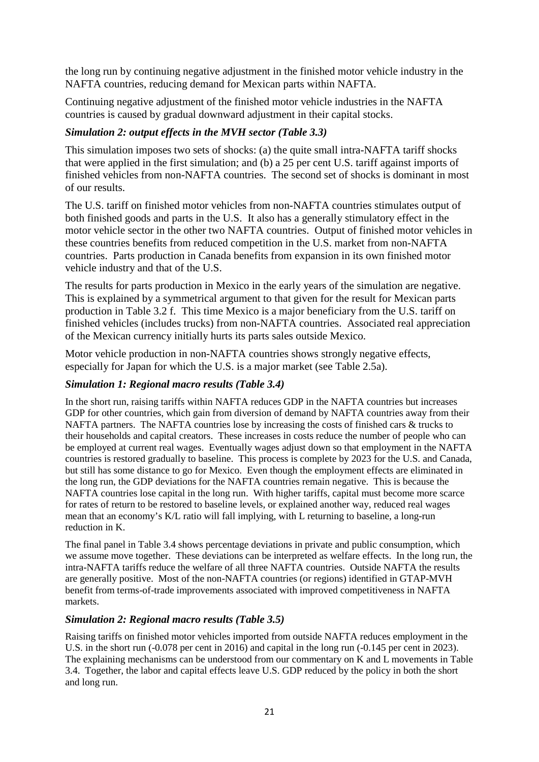the long run by continuing negative adjustment in the finished motor vehicle industry in the NAFTA countries, reducing demand for Mexican parts within NAFTA.

Continuing negative adjustment of the finished motor vehicle industries in the NAFTA countries is caused by gradual downward adjustment in their capital stocks.

#### *Simulation 2: output effects in the MVH sector (Table 3.3)*

This simulation imposes two sets of shocks: (a) the quite small intra-NAFTA tariff shocks that were applied in the first simulation; and (b) a 25 per cent U.S. tariff against imports of finished vehicles from non-NAFTA countries. The second set of shocks is dominant in most of our results.

The U.S. tariff on finished motor vehicles from non-NAFTA countries stimulates output of both finished goods and parts in the U.S. It also has a generally stimulatory effect in the motor vehicle sector in the other two NAFTA countries. Output of finished motor vehicles in these countries benefits from reduced competition in the U.S. market from non-NAFTA countries. Parts production in Canada benefits from expansion in its own finished motor vehicle industry and that of the U.S.

The results for parts production in Mexico in the early years of the simulation are negative. This is explained by a symmetrical argument to that given for the result for Mexican parts production in Table 3.2 f. This time Mexico is a major beneficiary from the U.S. tariff on finished vehicles (includes trucks) from non-NAFTA countries. Associated real appreciation of the Mexican currency initially hurts its parts sales outside Mexico.

Motor vehicle production in non-NAFTA countries shows strongly negative effects, especially for Japan for which the U.S. is a major market (see Table 2.5a).

#### *Simulation 1: Regional macro results (Table 3.4)*

In the short run, raising tariffs within NAFTA reduces GDP in the NAFTA countries but increases GDP for other countries, which gain from diversion of demand by NAFTA countries away from their NAFTA partners. The NAFTA countries lose by increasing the costs of finished cars & trucks to their households and capital creators. These increases in costs reduce the number of people who can be employed at current real wages. Eventually wages adjust down so that employment in the NAFTA countries is restored gradually to baseline. This process is complete by 2023 for the U.S. and Canada, but still has some distance to go for Mexico. Even though the employment effects are eliminated in the long run, the GDP deviations for the NAFTA countries remain negative. This is because the NAFTA countries lose capital in the long run. With higher tariffs, capital must become more scarce for rates of return to be restored to baseline levels, or explained another way, reduced real wages mean that an economy's K/L ratio will fall implying, with L returning to baseline, a long-run reduction in K.

The final panel in Table 3.4 shows percentage deviations in private and public consumption, which we assume move together. These deviations can be interpreted as welfare effects. In the long run, the intra-NAFTA tariffs reduce the welfare of all three NAFTA countries. Outside NAFTA the results are generally positive. Most of the non-NAFTA countries (or regions) identified in GTAP-MVH benefit from terms-of-trade improvements associated with improved competitiveness in NAFTA markets.

#### *Simulation 2: Regional macro results (Table 3.5)*

Raising tariffs on finished motor vehicles imported from outside NAFTA reduces employment in the U.S. in the short run  $(-0.078$  per cent in 2016) and capital in the long run  $(-0.145$  per cent in 2023). The explaining mechanisms can be understood from our commentary on K and L movements in Table 3.4. Together, the labor and capital effects leave U.S. GDP reduced by the policy in both the short and long run.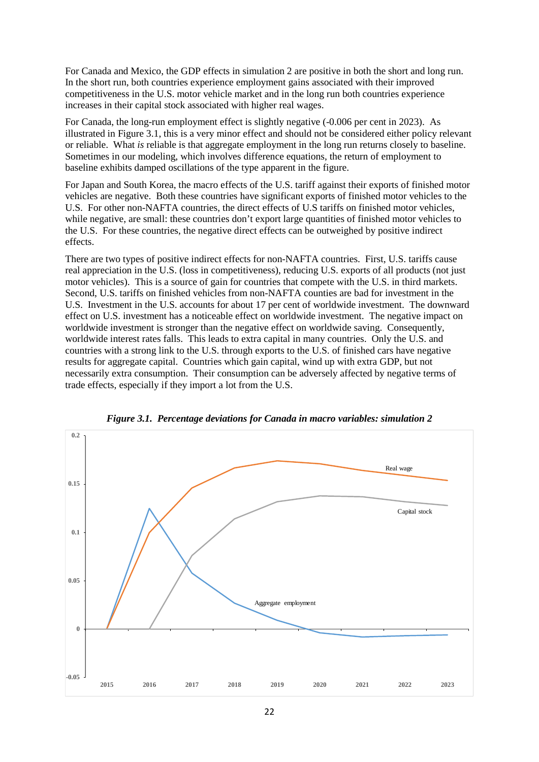For Canada and Mexico, the GDP effects in simulation 2 are positive in both the short and long run. In the short run, both countries experience employment gains associated with their improved competitiveness in the U.S. motor vehicle market and in the long run both countries experience increases in their capital stock associated with higher real wages.

For Canada, the long-run employment effect is slightly negative  $(-0.006$  per cent in 2023). As illustrated in Figure 3.1, this is a very minor effect and should not be considered either policy relevant or reliable. What *is* reliable is that aggregate employment in the long run returns closely to baseline. Sometimes in our modeling, which involves difference equations, the return of employment to baseline exhibits damped oscillations of the type apparent in the figure.

For Japan and South Korea, the macro effects of the U.S. tariff against their exports of finished motor vehicles are negative. Both these countries have significant exports of finished motor vehicles to the U.S. For other non-NAFTA countries, the direct effects of U.S tariffs on finished motor vehicles, while negative, are small: these countries don't export large quantities of finished motor vehicles to the U.S. For these countries, the negative direct effects can be outweighed by positive indirect effects.

There are two types of positive indirect effects for non-NAFTA countries. First, U.S. tariffs cause real appreciation in the U.S. (loss in competitiveness), reducing U.S. exports of all products (not just motor vehicles). This is a source of gain for countries that compete with the U.S. in third markets. Second, U.S. tariffs on finished vehicles from non-NAFTA counties are bad for investment in the U.S. Investment in the U.S. accounts for about 17 per cent of worldwide investment. The downward effect on U.S. investment has a noticeable effect on worldwide investment. The negative impact on worldwide investment is stronger than the negative effect on worldwide saving. Consequently, worldwide interest rates falls. This leads to extra capital in many countries. Only the U.S. and countries with a strong link to the U.S. through exports to the U.S. of finished cars have negative results for aggregate capital. Countries which gain capital, wind up with extra GDP, but not necessarily extra consumption. Their consumption can be adversely affected by negative terms of trade effects, especially if they import a lot from the U.S.



*Figure 3.1. Percentage deviations for Canada in macro variables: simulation 2*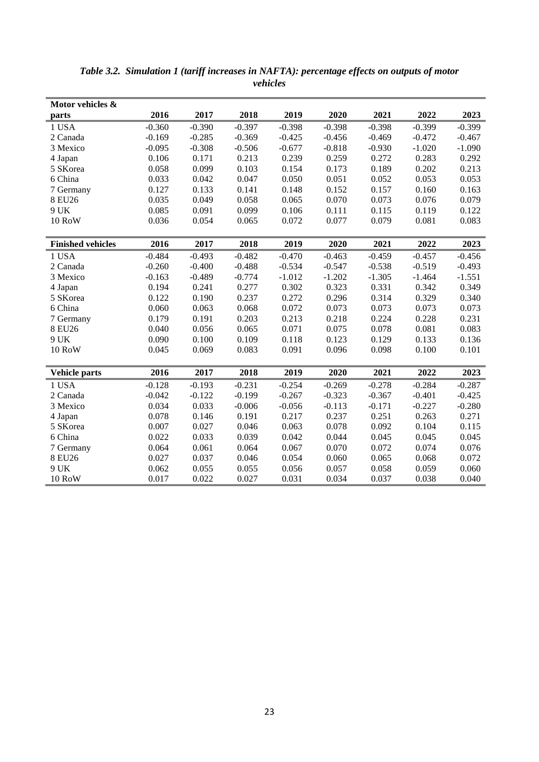| Motor vehicles &         |          |          |          |          |          |          |          |          |
|--------------------------|----------|----------|----------|----------|----------|----------|----------|----------|
| parts                    | 2016     | 2017     | 2018     | 2019     | 2020     | 2021     | 2022     | 2023     |
| 1 USA                    | $-0.360$ | $-0.390$ | $-0.397$ | $-0.398$ | $-0.398$ | $-0.398$ | $-0.399$ | $-0.399$ |
| 2 Canada                 | $-0.169$ | $-0.285$ | $-0.369$ | $-0.425$ | $-0.456$ | $-0.469$ | $-0.472$ | $-0.467$ |
| 3 Mexico                 | $-0.095$ | $-0.308$ | $-0.506$ | $-0.677$ | $-0.818$ | $-0.930$ | $-1.020$ | $-1.090$ |
| 4 Japan                  | 0.106    | 0.171    | 0.213    | 0.239    | 0.259    | 0.272    | 0.283    | 0.292    |
| 5 SKorea                 | 0.058    | 0.099    | 0.103    | 0.154    | 0.173    | 0.189    | 0.202    | 0.213    |
| 6 China                  | 0.033    | 0.042    | 0.047    | 0.050    | 0.051    | 0.052    | 0.053    | 0.053    |
| 7 Germany                | 0.127    | 0.133    | 0.141    | 0.148    | 0.152    | 0.157    | 0.160    | 0.163    |
| 8 EU26                   | 0.035    | 0.049    | 0.058    | 0.065    | 0.070    | 0.073    | 0.076    | 0.079    |
| 9 UK                     | 0.085    | 0.091    | 0.099    | 0.106    | 0.111    | 0.115    | 0.119    | 0.122    |
| 10 RoW                   | 0.036    | 0.054    | 0.065    | 0.072    | 0.077    | 0.079    | 0.081    | 0.083    |
|                          |          |          |          |          |          |          |          |          |
| <b>Finished vehicles</b> | 2016     | 2017     | 2018     | 2019     | 2020     | 2021     | 2022     | 2023     |
| 1 USA                    | $-0.484$ | $-0.493$ | $-0.482$ | $-0.470$ | $-0.463$ | $-0.459$ | $-0.457$ | $-0.456$ |
| 2 Canada                 | $-0.260$ | $-0.400$ | $-0.488$ | $-0.534$ | $-0.547$ | $-0.538$ | $-0.519$ | $-0.493$ |
| 3 Mexico                 | $-0.163$ | $-0.489$ | $-0.774$ | $-1.012$ | $-1.202$ | $-1.305$ | $-1.464$ | $-1.551$ |
| 4 Japan                  | 0.194    | 0.241    | 0.277    | 0.302    | 0.323    | 0.331    | 0.342    | 0.349    |
| 5 SKorea                 | 0.122    | 0.190    | 0.237    | 0.272    | 0.296    | 0.314    | 0.329    | 0.340    |
| 6 China                  | 0.060    | 0.063    | 0.068    | 0.072    | 0.073    | 0.073    | 0.073    | 0.073    |
| 7 Germany                | 0.179    | 0.191    | 0.203    | 0.213    | 0.218    | 0.224    | 0.228    | 0.231    |
| 8 EU26                   | 0.040    | 0.056    | 0.065    | 0.071    | 0.075    | 0.078    | 0.081    | 0.083    |
| 9 UK                     | 0.090    | 0.100    | 0.109    | 0.118    | 0.123    | 0.129    | 0.133    | 0.136    |
| <b>10 RoW</b>            | 0.045    | 0.069    | 0.083    | 0.091    | 0.096    | 0.098    | 0.100    | 0.101    |
|                          |          |          |          |          |          |          |          |          |
| <b>Vehicle parts</b>     | 2016     | 2017     | 2018     | 2019     | 2020     | 2021     | 2022     | 2023     |
| 1 USA                    | $-0.128$ | $-0.193$ | $-0.231$ | $-0.254$ | $-0.269$ | $-0.278$ | $-0.284$ | $-0.287$ |
| 2 Canada                 | $-0.042$ | $-0.122$ | $-0.199$ | $-0.267$ | $-0.323$ | $-0.367$ | $-0.401$ | $-0.425$ |
| 3 Mexico                 | 0.034    | 0.033    | $-0.006$ | $-0.056$ | $-0.113$ | $-0.171$ | $-0.227$ | $-0.280$ |
| 4 Japan                  | 0.078    | 0.146    | 0.191    | 0.217    | 0.237    | 0.251    | 0.263    | 0.271    |
| 5 SKorea                 | 0.007    | 0.027    | 0.046    | 0.063    | 0.078    | 0.092    | 0.104    | 0.115    |
| 6 China                  | 0.022    | 0.033    | 0.039    | 0.042    | 0.044    | 0.045    | 0.045    | 0.045    |
| 7 Germany                | 0.064    | 0.061    | 0.064    | 0.067    | 0.070    | 0.072    | 0.074    | 0.076    |
| 8 EU26                   | 0.027    | 0.037    | 0.046    | 0.054    | 0.060    | 0.065    | 0.068    | 0.072    |
| 9 UK                     | 0.062    | 0.055    | 0.055    | 0.056    | 0.057    | 0.058    | 0.059    | 0.060    |
| 10 RoW                   | 0.017    | 0.022    | 0.027    | 0.031    | 0.034    | 0.037    | 0.038    | 0.040    |

*Table 3.2. Simulation 1 (tariff increases in NAFTA): percentage effects on outputs of motor vehicles*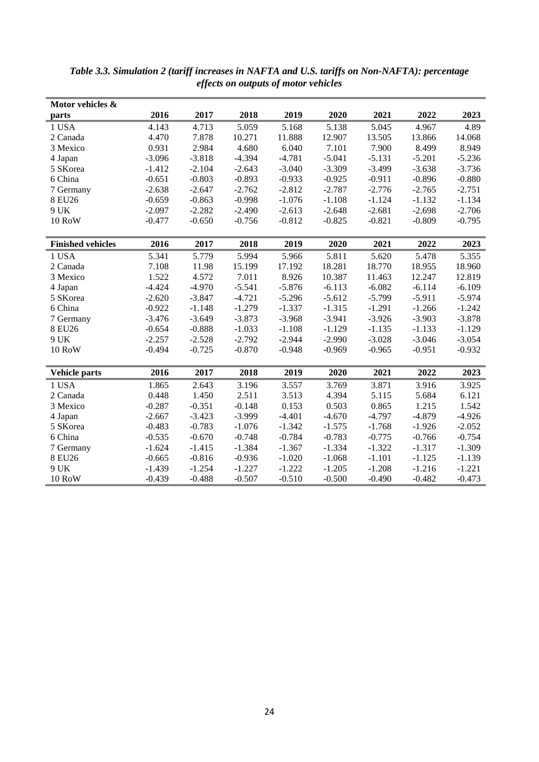| Motor vehicles &         |          |          |          |          |          |          |          |          |
|--------------------------|----------|----------|----------|----------|----------|----------|----------|----------|
| parts                    | 2016     | 2017     | 2018     | 2019     | 2020     | 2021     | 2022     | 2023     |
| 1 USA                    | 4.143    | 4.713    | 5.059    | 5.168    | 5.138    | 5.045    | 4.967    | 4.89     |
| 2 Canada                 | 4.470    | 7.878    | 10.271   | 11.888   | 12.907   | 13.505   | 13.866   | 14.068   |
| 3 Mexico                 | 0.931    | 2.984    | 4.680    | 6.040    | 7.101    | 7.900    | 8.499    | 8.949    |
| 4 Japan                  | $-3.096$ | $-3.818$ | $-4.394$ | $-4.781$ | $-5.041$ | $-5.131$ | $-5.201$ | $-5.236$ |
| 5 SKorea                 | $-1.412$ | $-2.104$ | $-2.643$ | $-3.040$ | $-3.309$ | $-3.499$ | $-3.638$ | $-3.736$ |
| 6 China                  | $-0.651$ | $-0.803$ | $-0.893$ | $-0.933$ | $-0.925$ | $-0.911$ | $-0.896$ | $-0.880$ |
| 7 Germany                | $-2.638$ | $-2.647$ | $-2.762$ | $-2.812$ | $-2.787$ | $-2.776$ | $-2.765$ | $-2.751$ |
| 8 EU26                   | $-0.659$ | $-0.863$ | $-0.998$ | $-1.076$ | $-1.108$ | $-1.124$ | $-1.132$ | $-1.134$ |
| 9 UK                     | $-2.097$ | $-2.282$ | $-2.490$ | $-2.613$ | $-2.648$ | $-2.681$ | $-2.698$ | $-2.706$ |
| 10 RoW                   | $-0.477$ | $-0.650$ | $-0.756$ | $-0.812$ | $-0.825$ | $-0.821$ | $-0.809$ | $-0.795$ |
|                          |          |          |          |          |          |          |          |          |
| <b>Finished vehicles</b> | 2016     | 2017     | 2018     | 2019     | 2020     | 2021     | 2022     | 2023     |
| 1 USA                    | 5.341    | 5.779    | 5.994    | 5.966    | 5.811    | 5.620    | 5.478    | 5.355    |
| 2 Canada                 | 7.108    | 11.98    | 15.199   | 17.192   | 18.281   | 18.770   | 18.955   | 18.960   |
| 3 Mexico                 | 1.522    | 4.572    | 7.011    | 8.926    | 10.387   | 11.463   | 12.247   | 12.819   |
| 4 Japan                  | $-4.424$ | $-4.970$ | $-5.541$ | $-5.876$ | $-6.113$ | $-6.082$ | $-6.114$ | $-6.109$ |
| 5 SKorea                 | $-2.620$ | $-3.847$ | $-4.721$ | $-5.296$ | $-5.612$ | $-5.799$ | $-5.911$ | $-5.974$ |
| 6 China                  | $-0.922$ | $-1.148$ | $-1.279$ | $-1.337$ | $-1.315$ | $-1.291$ | $-1.266$ | $-1.242$ |
| 7 Germany                | $-3.476$ | $-3.649$ | $-3.873$ | $-3.968$ | $-3.941$ | $-3.926$ | $-3.903$ | $-3.878$ |
| 8 EU26                   | $-0.654$ | $-0.888$ | $-1.033$ | $-1.108$ | $-1.129$ | $-1.135$ | $-1.133$ | $-1.129$ |
| 9 UK                     | $-2.257$ | $-2.528$ | $-2.792$ | $-2.944$ | $-2.990$ | $-3.028$ | $-3.046$ | $-3.054$ |
| <b>10 RoW</b>            | $-0.494$ | $-0.725$ | $-0.870$ | $-0.948$ | $-0.969$ | $-0.965$ | $-0.951$ | $-0.932$ |
|                          |          |          |          |          |          |          |          |          |
| <b>Vehicle parts</b>     | 2016     | 2017     | 2018     | 2019     | 2020     | 2021     | 2022     | 2023     |
| 1 USA                    | 1.865    | 2.643    | 3.196    | 3.557    | 3.769    | 3.871    | 3.916    | 3.925    |
| 2 Canada                 | 0.448    | 1.450    | 2.511    | 3.513    | 4.394    | 5.115    | 5.684    | 6.121    |
| 3 Mexico                 | $-0.287$ | $-0.351$ | $-0.148$ | 0.153    | 0.503    | 0.865    | 1.215    | 1.542    |
| 4 Japan                  | $-2.667$ | $-3.423$ | $-3.999$ | $-4.401$ | $-4.670$ | $-4.797$ | $-4.879$ | $-4.926$ |
| 5 SKorea                 | $-0.483$ | $-0.783$ | $-1.076$ | $-1.342$ | $-1.575$ | $-1.768$ | $-1.926$ | $-2.052$ |
| 6 China                  | $-0.535$ | $-0.670$ | $-0.748$ | $-0.784$ | $-0.783$ | $-0.775$ | $-0.766$ | $-0.754$ |
| 7 Germany                | $-1.624$ | $-1.415$ | $-1.384$ | $-1.367$ | $-1.334$ | $-1.322$ | $-1.317$ | $-1.309$ |
| 8 EU26                   | $-0.665$ | $-0.816$ | $-0.936$ | $-1.020$ | $-1.068$ | $-1.101$ | $-1.125$ | $-1.139$ |
| 9 UK                     | $-1.439$ | $-1.254$ | $-1.227$ | $-1.222$ | $-1.205$ | $-1.208$ | $-1.216$ | $-1.221$ |
| 10 RoW                   | $-0.439$ | $-0.488$ | $-0.507$ | $-0.510$ | $-0.500$ | $-0.490$ | $-0.482$ | $-0.473$ |

*Table 3.3. Simulation 2 (tariff increases in NAFTA and U.S. tariffs on Non-NAFTA): percentage effects on outputs of motor vehicles*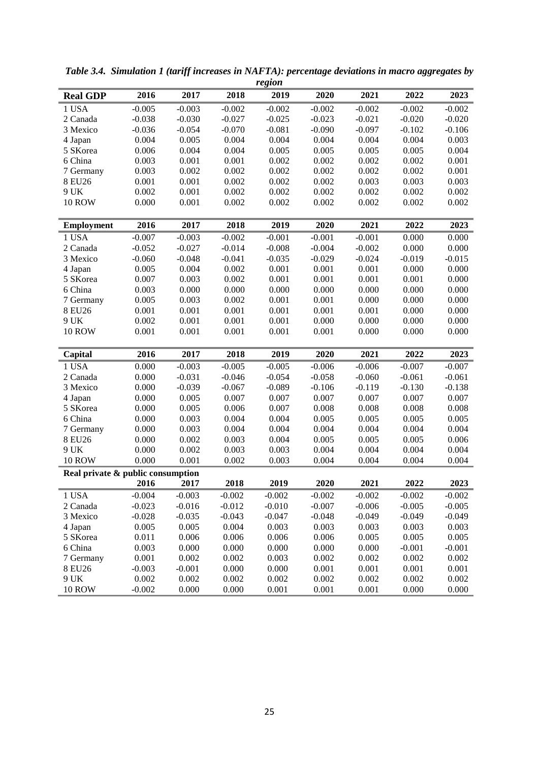|                                   |                   |                |                | region         |                |                |                |                |
|-----------------------------------|-------------------|----------------|----------------|----------------|----------------|----------------|----------------|----------------|
| <b>Real GDP</b>                   | 2016              | 2017           | 2018           | 2019           | 2020           | 2021           | 2022           | 2023           |
| 1 USA                             | $-0.005$          | $-0.003$       | $-0.002$       | $-0.002$       | $-0.002$       | $-0.002$       | $-0.002$       | $-0.002$       |
| 2 Canada                          | $-0.038$          | $-0.030$       | $-0.027$       | $-0.025$       | $-0.023$       | $-0.021$       | $-0.020$       | $-0.020$       |
| 3 Mexico                          | $-0.036$          | $-0.054$       | $-0.070$       | $-0.081$       | $-0.090$       | $-0.097$       | $-0.102$       | $-0.106$       |
| 4 Japan                           | 0.004             | 0.005          | 0.004          | 0.004          | 0.004          | 0.004          | 0.004          | 0.003          |
| 5 SKorea                          | 0.006             | 0.004          | 0.004          | 0.005          | 0.005          | 0.005          | 0.005          | 0.004          |
| 6 China                           | 0.003             | 0.001          | 0.001          | 0.002          | 0.002          | 0.002          | 0.002          | 0.001          |
| 7 Germany                         | 0.003             | 0.002          | 0.002          | 0.002          | 0.002          | 0.002          | 0.002          | 0.001          |
| 8 EU26                            | 0.001             | 0.001          | 0.002          | 0.002          | 0.002          | 0.003          | 0.003          | 0.003          |
| 9 UK                              | 0.002             | 0.001          | 0.002          | 0.002          | 0.002          | 0.002          | 0.002          | 0.002          |
| <b>10 ROW</b>                     | 0.000             | 0.001          | 0.002          | 0.002          | 0.002          | 0.002          | 0.002          | 0.002          |
|                                   |                   |                |                |                |                |                |                |                |
| <b>Employment</b>                 | 2016              | 2017           | 2018           | 2019           | 2020           | 2021           | 2022           | 2023           |
| 1 USA                             | $-0.007$          | $-0.003$       | $-0.002$       | $-0.001$       | $-0.001$       | $-0.001$       | 0.000          | 0.000          |
| 2 Canada                          | $-0.052$          | $-0.027$       | $-0.014$       | $-0.008$       | $-0.004$       | $-0.002$       | 0.000          | 0.000          |
| 3 Mexico                          | $-0.060$          | $-0.048$       | $-0.041$       | $-0.035$       | $-0.029$       | $-0.024$       | $-0.019$       | $-0.015$       |
| 4 Japan                           | 0.005             | 0.004          | 0.002          | 0.001          | 0.001          | 0.001          | 0.000          | 0.000          |
| 5 SKorea                          | 0.007             | 0.003          | 0.002          | 0.001          | 0.001          | 0.001          | 0.001          | 0.000          |
| 6 China                           | 0.003             | 0.000          | 0.000          | 0.000          | 0.000          | 0.000          | 0.000          | 0.000          |
| 7 Germany                         | 0.005             | 0.003          | 0.002          | 0.001          | 0.001          | 0.000          | 0.000          | 0.000          |
| 8 EU26                            | 0.001             | 0.001          | 0.001          | 0.001          | 0.001          | 0.001          | 0.000          | 0.000          |
| 9 UK                              | 0.002             | 0.001          | 0.001          | 0.001          | 0.000          | 0.000          | 0.000          | 0.000          |
| <b>10 ROW</b>                     | 0.001             | 0.001          | 0.001          | 0.001          | 0.001          | 0.000          | 0.000          | 0.000          |
|                                   |                   |                |                |                |                |                |                |                |
| Capital                           | 2016              | 2017           | 2018           | 2019           | 2020           | 2021           | 2022           | 2023           |
| 1 USA                             | 0.000             | $-0.003$       | $-0.005$       | $-0.005$       | $-0.006$       | $-0.006$       | $-0.007$       | $-0.007$       |
| 2 Canada                          | 0.000             | $-0.031$       | $-0.046$       | $-0.054$       | $-0.058$       | $-0.060$       | $-0.061$       | $-0.061$       |
| 3 Mexico                          | 0.000             | $-0.039$       | $-0.067$       | $-0.089$       | $-0.106$       | $-0.119$       | $-0.130$       | $-0.138$       |
| 4 Japan                           | 0.000             | 0.005          | 0.007          | 0.007          | 0.007          | 0.007          | 0.007          | 0.007          |
| 5 SKorea                          | 0.000             | 0.005          | 0.006          | 0.007          | 0.008          | 0.008          | 0.008          | 0.008          |
| 6 China                           | 0.000             | 0.003          | 0.004          | 0.004          |                | 0.005          | 0.005          | 0.005          |
| 7 Germany                         |                   |                |                |                | 0.005          |                |                |                |
|                                   | 0.000             | 0.003          | 0.004          | 0.004          | 0.004          | 0.004          | 0.004          | 0.004          |
| 8 EU26                            | 0.000             | 0.002          | 0.003          | 0.004          | 0.005          | 0.005          | 0.005          | 0.006          |
| 9 UK                              | 0.000             | 0.002          | 0.003          | 0.003          | 0.004          | 0.004          | 0.004          | 0.004          |
| <b>10 ROW</b>                     | 0.000             | 0.001          | 0.002          | 0.003          | 0.004          | 0.004          | 0.004          | 0.004          |
| Real private & public consumption |                   |                |                |                |                |                |                |                |
|                                   | 2016              | 2017           | 2018           | 2019           | 2020           | 2021           | 2022           | 2023           |
| 1 USA                             | $-0.004$          | $-0.003$       | $-0.002$       | $-0.002$       | $-0.002$       | $-0.002$       | $-0.002$       | $-0.002$       |
| 2 Canada                          | $-0.023$          | $-0.016$       | $-0.012$       | $-0.010$       | $-0.007$       | $-0.006$       | $-0.005$       | $-0.005$       |
| 3 Mexico                          | $-0.028$          | $-0.035$       | $-0.043$       | $-0.047$       | $-0.048$       | $-0.049$       | $-0.049$       | $-0.049$       |
| 4 Japan                           | 0.005             | 0.005          | 0.004          | 0.003          | 0.003          | 0.003          | 0.003          | 0.003          |
| 5 SKorea                          | 0.011             | 0.006          | 0.006          | 0.006          | 0.006          | 0.005          | 0.005          | 0.005          |
| 6 China                           | 0.003             | 0.000          | 0.000          | 0.000          | 0.000          | 0.000          | $-0.001$       | $-0.001$       |
| 7 Germany                         | 0.001             | 0.002          | 0.002          | 0.003          | 0.002          | 0.002          | 0.002          | 0.002          |
| 8 EU26                            | $-0.003$          | $-0.001$       | 0.000          | 0.000          | 0.001          | 0.001          | 0.001          | 0.001          |
| 9 UK<br><b>10 ROW</b>             | 0.002<br>$-0.002$ | 0.002<br>0.000 | 0.002<br>0.000 | 0.002<br>0.001 | 0.002<br>0.001 | 0.002<br>0.001 | 0.002<br>0.000 | 0.002<br>0.000 |

*Table 3.4. Simulation 1 (tariff increases in NAFTA): percentage deviations in macro aggregates by region*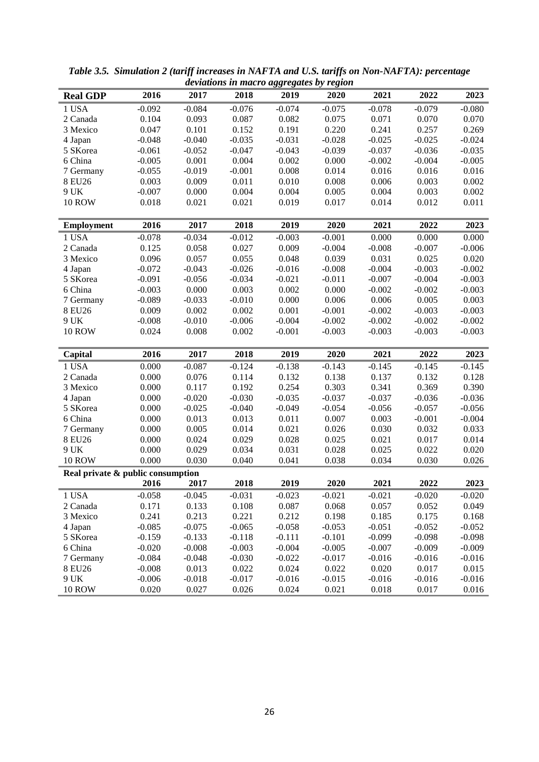|                                   |          |                   |                   |                   | $\sim$            |          |                   |          |
|-----------------------------------|----------|-------------------|-------------------|-------------------|-------------------|----------|-------------------|----------|
| <b>Real GDP</b>                   | 2016     | 2017              | 2018              | 2019              | 2020              | 2021     | 2022              | 2023     |
| 1 USA                             | $-0.092$ | $-0.084$          | $-0.076$          | $-0.074$          | $-0.075$          | $-0.078$ | $-0.079$          | $-0.080$ |
| 2 Canada                          | 0.104    | 0.093             | 0.087             | 0.082             | 0.075             | 0.071    | 0.070             | 0.070    |
| 3 Mexico                          | 0.047    | 0.101             | 0.152             | 0.191             | 0.220             | 0.241    | 0.257             | 0.269    |
| 4 Japan                           | $-0.048$ | $-0.040$          | $-0.035$          | $-0.031$          | $-0.028$          | $-0.025$ | $-0.025$          | $-0.024$ |
| 5 SKorea                          | $-0.061$ | $-0.052$          | $-0.047$          | $-0.043$          | $-0.039$          | $-0.037$ | $-0.036$          | $-0.035$ |
| 6 China                           | $-0.005$ | 0.001             | 0.004             | 0.002             | 0.000             | $-0.002$ | $-0.004$          | $-0.005$ |
| 7 Germany                         | $-0.055$ | $-0.019$          | $-0.001$          | 0.008             | 0.014             | 0.016    | 0.016             | 0.016    |
| 8 EU26                            | 0.003    | 0.009             | 0.011             | 0.010             | 0.008             | 0.006    | 0.003             | 0.002    |
| 9 UK                              | $-0.007$ | 0.000             | 0.004             | 0.004             | 0.005             | 0.004    | 0.003             | 0.002    |
| <b>10 ROW</b>                     | 0.018    | 0.021             | 0.021             | 0.019             | 0.017             | 0.014    | 0.012             | 0.011    |
|                                   |          |                   |                   |                   |                   |          |                   |          |
| <b>Employment</b>                 | 2016     | 2017              | 2018              | 2019              | 2020              | 2021     | 2022              | 2023     |
| 1 USA                             | $-0.078$ | $-0.034$          | $-0.012$          | $-0.003$          | $-0.001$          | 0.000    | 0.000             | 0.000    |
| 2 Canada                          | 0.125    | 0.058             | 0.027             | 0.009             | $-0.004$          | $-0.008$ | $-0.007$          | $-0.006$ |
| 3 Mexico                          | 0.096    | 0.057             | 0.055             | 0.048             | 0.039             | 0.031    | 0.025             | 0.020    |
| 4 Japan                           | $-0.072$ | $-0.043$          | $-0.026$          | $-0.016$          | $-0.008$          | $-0.004$ | $-0.003$          | $-0.002$ |
| 5 SKorea                          | $-0.091$ | $-0.056$          | $-0.034$          | $-0.021$          | $-0.011$          | $-0.007$ | $-0.004$          | $-0.003$ |
| 6 China                           | $-0.003$ | 0.000             | 0.003             | 0.002             | 0.000             | $-0.002$ | $-0.002$          | $-0.003$ |
| 7 Germany                         | $-0.089$ | $-0.033$          | $-0.010$          | 0.000             | 0.006             | 0.006    | 0.005             | 0.003    |
| 8 EU26                            | 0.009    | 0.002             | 0.002             | 0.001             | $-0.001$          | $-0.002$ | $-0.003$          | $-0.003$ |
| 9 UK                              | $-0.008$ | $-0.010$          | $-0.006$          | $-0.004$          | $-0.002$          | $-0.002$ | $-0.002$          | $-0.002$ |
|                                   |          |                   |                   |                   |                   |          |                   |          |
| <b>10 ROW</b>                     | 0.024    | 0.008             | 0.002             | $-0.001$          | $-0.003$          | $-0.003$ | $-0.003$          | $-0.003$ |
| Capital                           | 2016     | 2017              | 2018              | 2019              | 2020              | 2021     | 2022              | 2023     |
| 1 USA                             | 0.000    | $-0.087$          | $-0.124$          | $-0.138$          | $-0.143$          | $-0.145$ | $-0.145$          | $-0.145$ |
| 2 Canada                          | 0.000    | 0.076             | 0.114             | 0.132             | 0.138             | 0.137    | 0.132             | 0.128    |
| 3 Mexico                          | 0.000    | 0.117             | 0.192             | 0.254             | 0.303             | 0.341    | 0.369             | 0.390    |
| 4 Japan                           | 0.000    | $-0.020$          | $-0.030$          | $-0.035$          | $-0.037$          | $-0.037$ | $-0.036$          | $-0.036$ |
| 5 SKorea                          | 0.000    | $-0.025$          | $-0.040$          | $-0.049$          | $-0.054$          | $-0.056$ | $-0.057$          | $-0.056$ |
| 6 China                           | 0.000    | 0.013             | 0.013             | 0.011             | 0.007             | 0.003    | $-0.001$          | $-0.004$ |
| 7 Germany                         | 0.000    | 0.005             | 0.014             | 0.021             | 0.026             | 0.030    | 0.032             | 0.033    |
| 8 EU26                            | 0.000    | 0.024             | 0.029             | 0.028             | 0.025             | 0.021    | 0.017             | 0.014    |
| 9 UK                              | 0.000    | 0.029             | 0.034             | 0.031             | 0.028             | 0.025    | 0.022             | 0.020    |
| <b>10 ROW</b>                     | 0.000    | 0.030             | 0.040             | 0.041             | 0.038             | 0.034    | 0.030             | 0.026    |
| Real private & public consumption |          |                   |                   |                   |                   |          |                   |          |
|                                   | 2016     | 2017              | 2018              | 2019              | 2020              | 2021     | 2022              | 2023     |
| 1 USA                             | $-0.058$ | $-0.045$          | $-0.031$          | $-0.023$          | $-0.021$          | $-0.021$ | $-0.020$          | $-0.020$ |
| 2 Canada                          | 0.171    | 0.133             | 0.108             | 0.087             | 0.068             | 0.057    | 0.052             | 0.049    |
| 3 Mexico                          | 0.241    | 0.213             | 0.221             | 0.212             | 0.198             | 0.185    | 0.175             | 0.168    |
| 4 Japan                           | $-0.085$ | $-0.075$          | $-0.065$          | $-0.058$          | $-0.053$          | $-0.051$ | $-0.052$          | $-0.052$ |
| 5 SKorea                          | $-0.159$ | $-0.133$          | $-0.118$          | $-0.111$          | $-0.101$          | $-0.099$ | $-0.098$          | $-0.098$ |
| 6 China                           | $-0.020$ | $-0.008$          | $-0.003$          | $-0.004$          | $-0.005$          | $-0.007$ | $-0.009$          | $-0.009$ |
| 7 Germany                         | $-0.084$ | $-0.048$          | $-0.030$          | $-0.022$          | $-0.017$          | $-0.016$ | $-0.016$          | $-0.016$ |
| 8 EU26                            | $-0.008$ |                   |                   |                   |                   | 0.020    |                   | 0.015    |
| 9 UK                              | $-0.006$ | 0.013<br>$-0.018$ | 0.022<br>$-0.017$ | 0.024<br>$-0.016$ | 0.022<br>$-0.015$ | $-0.016$ | 0.017<br>$-0.016$ | $-0.016$ |
|                                   | 0.020    |                   |                   |                   |                   |          |                   |          |
| <b>10 ROW</b>                     |          | 0.027             | 0.026             | 0.024             | 0.021             | 0.018    | 0.017             | 0.016    |

*Table 3.5. Simulation 2 (tariff increases in NAFTA and U.S. tariffs on Non-NAFTA): percentage deviations in macro aggregates by region*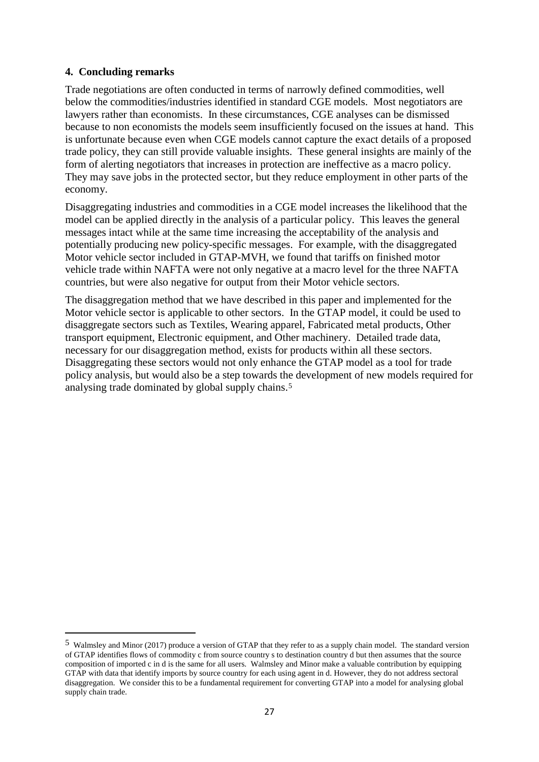#### **4. Concluding remarks**

<u>.</u>

Trade negotiations are often conducted in terms of narrowly defined commodities, well below the commodities/industries identified in standard CGE models. Most negotiators are lawyers rather than economists. In these circumstances, CGE analyses can be dismissed because to non economists the models seem insufficiently focused on the issues at hand. This is unfortunate because even when CGE models cannot capture the exact details of a proposed trade policy, they can still provide valuable insights. These general insights are mainly of the form of alerting negotiators that increases in protection are ineffective as a macro policy. They may save jobs in the protected sector, but they reduce employment in other parts of the economy.

Disaggregating industries and commodities in a CGE model increases the likelihood that the model can be applied directly in the analysis of a particular policy. This leaves the general messages intact while at the same time increasing the acceptability of the analysis and potentially producing new policy-specific messages. For example, with the disaggregated Motor vehicle sector included in GTAP-MVH, we found that tariffs on finished motor vehicle trade within NAFTA were not only negative at a macro level for the three NAFTA countries, but were also negative for output from their Motor vehicle sectors.

The disaggregation method that we have described in this paper and implemented for the Motor vehicle sector is applicable to other sectors. In the GTAP model, it could be used to disaggregate sectors such as Textiles, Wearing apparel, Fabricated metal products, Other transport equipment, Electronic equipment, and Other machinery. Detailed trade data, necessary for our disaggregation method, exists for products within all these sectors. Disaggregating these sectors would not only enhance the GTAP model as a tool for trade policy analysis, but would also be a step towards the development of new models required for analysing trade dominated by global supply chains.[5](#page-28-0) 

<span id="page-28-0"></span><sup>5</sup> Walmsley and Minor (2017) produce a version of GTAP that they refer to as a supply chain model. The standard version of GTAP identifies flows of commodity c from source country s to destination country d but then assumes that the source composition of imported c in d is the same for all users. Walmsley and Minor make a valuable contribution by equipping GTAP with data that identify imports by source country for each using agent in d. However, they do not address sectoral disaggregation. We consider this to be a fundamental requirement for converting GTAP into a model for analysing global supply chain trade.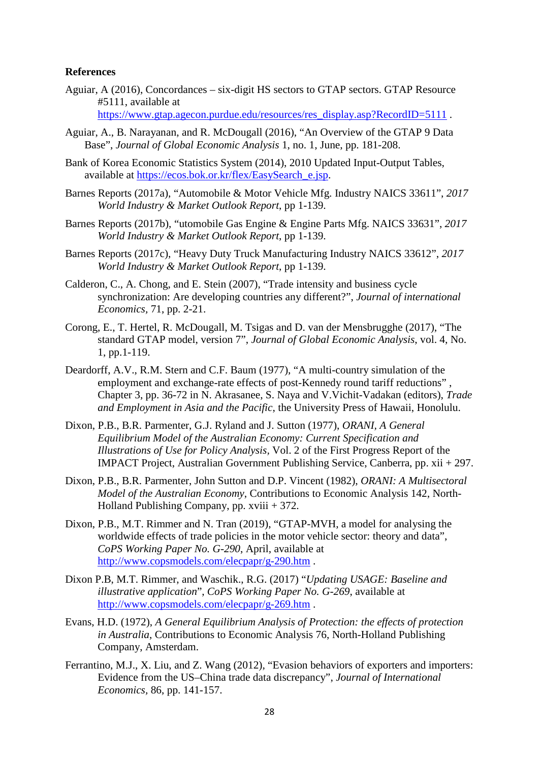#### **References**

Aguiar, A (2016), Concordances – six-digit HS sectors to GTAP sectors. GTAP Resource #5111, available at

[https://www.gtap.agecon.purdue.edu/resources/res\\_display.asp?RecordID=5111](https://www.gtap.agecon.purdue.edu/resources/res_display.asp?RecordID=5111).

- Aguiar, A., B. Narayanan, and R. McDougall (2016), "An Overview of the GTAP 9 Data Base", *Journal of Global Economic Analysis* 1, no. 1, June, pp. 181-208.
- Bank of Korea Economic Statistics System (2014), 2010 Updated Input-Output Tables, available at [https://ecos.bok.or.kr/flex/EasySearch\\_e.jsp.](https://ecos.bok.or.kr/flex/EasySearch_e.jsp)
- Barnes Reports (2017a), "Automobile & Motor Vehicle Mfg. Industry NAICS 33611", *2017 World Industry & Market Outlook Report*, pp 1-139.
- Barnes Reports (2017b), "utomobile Gas Engine & Engine Parts Mfg. NAICS 33631", *2017 World Industry & Market Outlook Report*, pp 1-139.
- Barnes Reports (2017c), "Heavy Duty Truck Manufacturing Industry NAICS 33612", *2017 World Industry & Market Outlook Report*, pp 1-139.
- Calderon, C., A. Chong, and E. Stein (2007), "Trade intensity and business cycle synchronization: Are developing countries any different?", *Journal of international Economics,* 71, pp. 2-21.
- Corong, E., T. Hertel, R. McDougall, M. Tsigas and D. van der Mensbrugghe (2017), "The standard GTAP model, version 7", *Journal of Global Economic Analysis*, vol. 4, No. 1, pp.1-119.
- Deardorff, A.V., R.M. Stern and C.F. Baum (1977), "A multi-country simulation of the employment and exchange-rate effects of post-Kennedy round tariff reductions" , Chapter 3, pp. 36-72 in N. Akrasanee, S. Naya and V.Vichit-Vadakan (editors), *Trade and Employment in Asia and the Pacific*, the University Press of Hawaii, Honolulu.
- Dixon, P.B., B.R. Parmenter, G.J. Ryland and J. Sutton (1977), *ORANI, A General Equilibrium Model of the Australian Economy: Current Specification and Illustrations of Use for Policy Analysis,* Vol. 2 of the First Progress Report of the IMPACT Project, Australian Government Publishing Service, Canberra, pp. xii + 297.
- Dixon, P.B., B.R. Parmenter, John Sutton and D.P. Vincent (1982), *ORANI: A Multisectoral Model of the Australian Economy*, Contributions to Economic Analysis 142, North-Holland Publishing Company, pp. xviii + 372.
- Dixon, P.B., M.T. Rimmer and N. Tran (2019), "GTAP-MVH, a model for analysing the worldwide effects of trade policies in the motor vehicle sector: theory and data", *CoPS Working Paper No. G-290*, April, available at <http://www.copsmodels.com/elecpapr/g-290.htm> .
- Dixon P.B, M.T. Rimmer, and Waschik., R.G. (2017) "*Updating USAGE: Baseline and illustrative application*", *CoPS Working Paper No. G-269*, available at <http://www.copsmodels.com/elecpapr/g-269.htm> .
- Evans, H.D. (1972), *A General Equilibrium Analysis of Protection: the effects of protection in Australia*, Contributions to Economic Analysis 76, North-Holland Publishing Company, Amsterdam.
- Ferrantino, M.J., X. Liu, and Z. Wang (2012), "Evasion behaviors of exporters and importers: Evidence from the US–China trade data discrepancy", *Journal of International Economics,* 86, pp. 141-157.